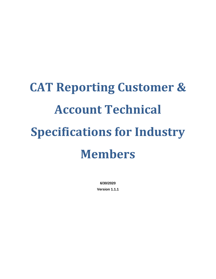# **CAT Reporting Customer & Account Technical Specifications for Industry Members**

**6/30/2020 Version 1.1.1**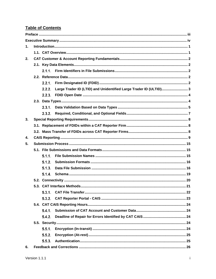# **Table of Contents**

| $\mathbf 1$ . |  |        |                                                                   |  |  |  |  |  |  |  |
|---------------|--|--------|-------------------------------------------------------------------|--|--|--|--|--|--|--|
|               |  |        |                                                                   |  |  |  |  |  |  |  |
| 2.            |  |        |                                                                   |  |  |  |  |  |  |  |
|               |  |        |                                                                   |  |  |  |  |  |  |  |
|               |  |        |                                                                   |  |  |  |  |  |  |  |
|               |  |        |                                                                   |  |  |  |  |  |  |  |
|               |  |        |                                                                   |  |  |  |  |  |  |  |
|               |  | 2.2.2. | Large Trader ID (LTID) and Unidentified Large Trader ID (ULTID) 3 |  |  |  |  |  |  |  |
|               |  |        |                                                                   |  |  |  |  |  |  |  |
|               |  |        |                                                                   |  |  |  |  |  |  |  |
|               |  |        |                                                                   |  |  |  |  |  |  |  |
|               |  | 2.3.2. |                                                                   |  |  |  |  |  |  |  |
| 3.            |  |        |                                                                   |  |  |  |  |  |  |  |
|               |  |        |                                                                   |  |  |  |  |  |  |  |
|               |  |        |                                                                   |  |  |  |  |  |  |  |
| 4.            |  |        |                                                                   |  |  |  |  |  |  |  |
| 5.            |  |        |                                                                   |  |  |  |  |  |  |  |
|               |  |        |                                                                   |  |  |  |  |  |  |  |
|               |  | 5.1.1. |                                                                   |  |  |  |  |  |  |  |
|               |  | 5.1.2. |                                                                   |  |  |  |  |  |  |  |
|               |  | 5.1.3. |                                                                   |  |  |  |  |  |  |  |
|               |  | 5.1.4. |                                                                   |  |  |  |  |  |  |  |
|               |  |        |                                                                   |  |  |  |  |  |  |  |
|               |  |        |                                                                   |  |  |  |  |  |  |  |
|               |  |        |                                                                   |  |  |  |  |  |  |  |
|               |  |        |                                                                   |  |  |  |  |  |  |  |
|               |  |        |                                                                   |  |  |  |  |  |  |  |
|               |  | 5.4.1. |                                                                   |  |  |  |  |  |  |  |
|               |  | 5.4.2. |                                                                   |  |  |  |  |  |  |  |
|               |  |        |                                                                   |  |  |  |  |  |  |  |
|               |  |        |                                                                   |  |  |  |  |  |  |  |
|               |  | 5.5.2. |                                                                   |  |  |  |  |  |  |  |
|               |  | 5.5.3. |                                                                   |  |  |  |  |  |  |  |
| 6.            |  |        |                                                                   |  |  |  |  |  |  |  |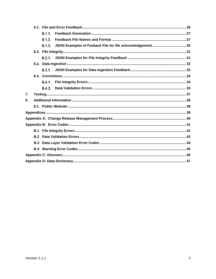|    |     | 6.1.1. |  |
|----|-----|--------|--|
|    |     | 6.1.2. |  |
|    |     |        |  |
|    |     |        |  |
|    |     |        |  |
|    |     |        |  |
|    |     |        |  |
|    |     |        |  |
|    |     |        |  |
|    |     |        |  |
| 7. |     |        |  |
| 8. |     |        |  |
|    |     |        |  |
|    |     |        |  |
|    |     |        |  |
|    |     |        |  |
|    |     |        |  |
|    |     |        |  |
|    | B.3 |        |  |
|    |     |        |  |
|    |     |        |  |
|    |     |        |  |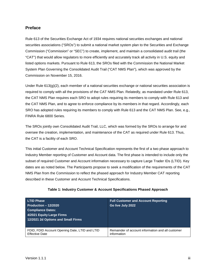# <span id="page-3-0"></span>**Preface**

Rule 613 of the Securities Exchange Act of 1934 requires national securities exchanges and national securities associations ("SROs") to submit a national market system plan to the Securities and Exchange Commission ("Commission" or "SEC") to create, implement, and maintain a consolidated audit trail (the "CAT") that would allow regulators to more efficiently and accurately track all activity in U.S. equity and listed options markets. Pursuant to Rule 613, the SROs filed with the Commission the National Market System Plan Governing the Consolidated Audit Trail ("CAT NMS Plan"), which was approved by the Commission on November 15, 2016.

Under Rule  $613(q)(2)$ , each member of a national securities exchange or national securities association is required to comply with all the provisions of the CAT NMS Plan. Relatedly, as mandated under Rule 613, the CAT NMS Plan requires each SRO to adopt rules requiring its members to comply with Rule 613 and the CAT NMS Plan, and to agree to enforce compliance by its members in that regard. Accordingly, each SRO has adopted rules requiring its members to comply with Rule 613 and the CAT NMS Plan. See, e.g., FINRA Rule 6800 Series.

The SROs jointly own Consolidated Audit Trail, LLC, which was formed by the SROs to arrange for and oversee the creation, implementation, and maintenance of the CAT as required under Rule 613. Thus, the CAT is a facility of each SRO.

This initial Customer and Account Technical Specification represents the first of a two phase approach to Industry Member reporting of Customer and Account data. The first phase is intended to include only the subset of required Customer and Account information necessary to capture Large Trader IDs (LTID). Key dates are as noted below. The Participants propose to seek a modification of the requirements of the CAT NMS Plan from the Commission to reflect the phased approach for Industry Member CAT reporting described in these Customer and Account Technical Specifications.

| <b>LTID Phase</b><br>Production $-12/2020$<br><b>Compliance Dates:</b><br>4/2021 Equity Large Firms<br>12/2021 2d Options and Small Firms | <b>Full Customer and Account Reporting</b><br>Go live July 2022 |
|-------------------------------------------------------------------------------------------------------------------------------------------|-----------------------------------------------------------------|
| FDID, FDID Account Opening Date, LTID and LTID                                                                                            | Remainder of account information and all customer               |
| <b>Effective Date</b>                                                                                                                     | information                                                     |

#### **Table 1: Industry Customer & Account Specifications Phased Approach**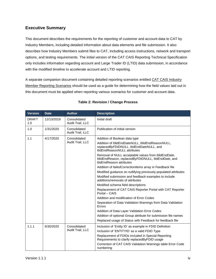# <span id="page-4-0"></span>**Executive Summary**

This document describes the requirements for the reporting of customer and account data to CAT by Industry Members, including detailed information about data elements and file submission. It also describes how Industry Members submit files to CAT, including access instructions, network and transport options, and testing requirements. The initial version of the CAT CAIS Reporting Technical Specification only includes information regarding account and Large Trader ID (LTID) data submission, in accordance with the modified timeline to accelerate account and LTID reporting.

A separate companion document containing detailed reporting scenarios entitled CAT CAIS Industry Member Reporting Scenarios should be used as a guide for determining how the field values laid out in this document must be applied when reporting various scenarios for customer and account data.

| <b>Version</b>      | <b>Date</b> | <b>Author</b>                    | <b>Description</b>                                                                                                                                                                                                                                                                                                                                                                                                                                                                                                                                                                                                                                                                                                                                                                                                                                                                            |  |  |  |  |
|---------------------|-------------|----------------------------------|-----------------------------------------------------------------------------------------------------------------------------------------------------------------------------------------------------------------------------------------------------------------------------------------------------------------------------------------------------------------------------------------------------------------------------------------------------------------------------------------------------------------------------------------------------------------------------------------------------------------------------------------------------------------------------------------------------------------------------------------------------------------------------------------------------------------------------------------------------------------------------------------------|--|--|--|--|
| <b>DRAFT</b><br>1.0 | 12/13/2019  | Consolidated<br>Audit Trail, LLC | Initial draft                                                                                                                                                                                                                                                                                                                                                                                                                                                                                                                                                                                                                                                                                                                                                                                                                                                                                 |  |  |  |  |
| 1.0                 | 1/31/2020   | Consolidated<br>Audit Trail, LLC | Publication of initial version                                                                                                                                                                                                                                                                                                                                                                                                                                                                                                                                                                                                                                                                                                                                                                                                                                                                |  |  |  |  |
| 1.1                 | 4/17/2020   | Consolidated<br>Audit Trail, LLC | Addition of Boolean data type<br>Addition of fdidEndDateNULL, fdidEndReasonNULL,<br>replacedByFDIDNULL, ItidEndDateNULL, and<br>ItidEndReasonNULL attributes<br>Removal of NULL acceptable values from fdidEndDate,<br>fdidEndReason, replacedByFDIDNULL, ItidEndDate, and<br>ItidEndReason attributes<br>Addition of failedCorrectionItems array in Feedback file<br>Modified guidance on nullifying previously populated attributes<br>Modified submission and feedback examples to include<br>additions/removals of attributes<br>Modified schema field descriptions<br>Replacement of CAT CAIS Reporter Portal with CAT Reporter<br>Portal - CAIS<br>Addition and modification of Error Codes<br>Separation of Data Validation Warnings from Data Validation<br>Errors<br>Addition of Data Layer Validation Error Codes<br>Addition of optional Group attribute for submission file names |  |  |  |  |
| 1.1.1               | 6/30/2020   | Consolidated<br>Audit Trail, LLC | Replaced usage of Status with Feedback for feedback file<br>Inclusion of 'Entity ID' as example in FDID Definition<br>Inclusion of 'ENTITYID' as a valid FDID Type<br>Replacement of FDIDs included in Special Reporting<br>Requirements to clarify replacedByFDID usage<br>Correction of CAT CAIS Validation Warnings table Error Code<br>numbering                                                                                                                                                                                                                                                                                                                                                                                                                                                                                                                                          |  |  |  |  |

# **Table 2: Revision / Change Process**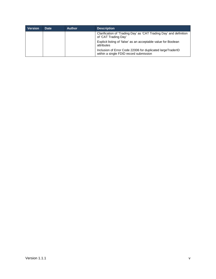| <b>Version</b> | <b>Date</b> | <b>Author</b> | <b>Description</b>                                                                                   |
|----------------|-------------|---------------|------------------------------------------------------------------------------------------------------|
|                |             |               | Clarification of 'Trading Day' as 'CAT Trading Day' and definition<br>of 'CAT Trading Day'           |
|                |             |               | Explicit listing of 'false' as an acceptable value for Boolean<br>attributes                         |
|                |             |               | Inclusion of Error Code 22006 for duplicated largeTraderID<br>within a single FDID record submission |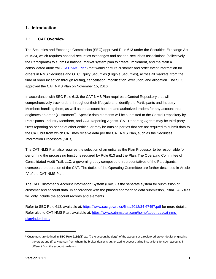# <span id="page-6-0"></span>**1. Introduction**

#### <span id="page-6-1"></span>**1.1. CAT Overview**

The Securities and Exchange Commission (SEC) approved Rule 613 under the Securities Exchange Act of 1934, which requires national securities exchanges and national securities associations (collectively, the Participants) to submit a national market system plan to create, implement, and maintain a consolidated audit trail [\(CAT NMS Plan\)](https://www.catnmsplan.com/wp-content/uploads/2017/03/CAT-NMS-Plan-Current-as-of-7.24.17.pdf) that would capture customer and order event information for orders in NMS Securities and OTC Equity Securities (Eligible Securities), across all markets, from the time of order inception through routing, cancellation, modification, execution, and allocation. The SEC approved the CAT NMS Plan on November 15, 2016.

In accordance with SEC Rule 613, the CAT NMS Plan requires a Central Repository that will comprehensively track orders throughout their lifecycle and identify the Participants and Industry Members handling them, as well as the account holders and authorized traders for any account that originates an order (Customers[1\)](#page-6-2). Specific data elements will be submitted to the Central Repository by Participants, Industry Members, and CAT Reporting Agents. CAT Reporting Agents may be third-party firms reporting on behalf of other entities, or may be outside parties that are not required to submit data to the CAT, but from which CAT may receive data per the CAT NMS Plan, such as the Securities Information Processors (SIPs).

The CAT NMS Plan also requires the selection of an entity as the Plan Processor to be responsible for performing the processing functions required by Rule 613 and the Plan. The Operating Committee of Consolidated Audit Trail, LLC, a governing body composed of representatives of the Participants, oversees the operation of the CAT. The duties of the Operating Committee are further described in Article IV of the CAT NMS Plan.

The CAT Customer & Account Information System (CAIS) is the separate system for submission of customer and account data. In accordance with the phased approach to data submission, initial CAIS files will only include the account records and elements.

Refer to SEC Rule 613, available at:<https://www.sec.gov/rules/final/2012/34-67457.pdf> for more details. Refer also to CAT NMS Plan, available at: [https://www.catnmsplan.com/home/about-cat/cat-nms](https://www.catnmsplan.com/home/about-cat/cat-nms-plan/index.html)[plan/index.html.](https://www.catnmsplan.com/home/about-cat/cat-nms-plan/index.html)

-

<span id="page-6-2"></span> $1$  Customers are defined in SEC Rule 613(j)(3) as: (i) the account holder(s) of the account at a registered broker-dealer originating the order; and (ii) any person from whom the broker-dealer is authorized to accept trading instructions for such account, if different from the account holder(s).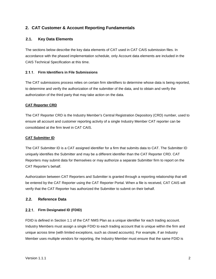# <span id="page-7-0"></span>**2. CAT Customer & Account Reporting Fundamentals**

# <span id="page-7-1"></span>**2.1. Key Data Elements**

The sections below describe the key data elements of CAT used in CAT CAIS submission files. In accordance with the phased implementation schedule, only Account data elements are included in the CAIS Technical Specification at this time.

#### <span id="page-7-2"></span>**Firm Identifiers in File Submissions**

The CAT submissions process relies on certain firm identifiers to determine whose data is being reported, to determine and verify the authorization of the submitter of the data, and to obtain and verify the authorization of the third party that may take action on the data.

#### **CAT Reporter CRD**

The CAT Reporter CRD is the Industry Member's Central Registration Depository (CRD) number, used to ensure all account and customer reporting activity of a single Industry Member CAT reporter can be consolidated at the firm level in CAT CAIS.

#### **CAT Submitter ID**

The CAT Submitter ID is a CAT assigned identifier for a firm that submits data to CAT. The Submitter ID uniquely identifies the Submitter and may be a different identifier than the CAT Reporter CRD. CAT Reporters may submit data for themselves or may authorize a separate Submitter firm to report on the CAT Reporter's behalf.

Authorization between CAT Reporters and Submitter is granted through a reporting relationship that will be entered by the CAT Reporter using the CAT Reporter Portal. When a file is received, CAT CAIS will verify that the CAT Reporter has authorized the Submitter to submit on their behalf.

#### <span id="page-7-3"></span>**2.2. Reference Data**

#### <span id="page-7-4"></span>**Firm Designated ID (FDID)**

FDID is defined in Section 1.1 of the CAT NMS Plan as a unique identifier for each trading account. Industry Members must assign a single FDID to each trading account that is unique within the firm and unique across time (with limited exceptions, such as closed accounts). For example, if an Industry Member uses multiple vendors for reporting, the Industry Member must ensure that the same FDID is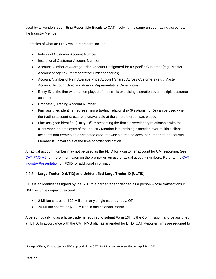used by all vendors submitting Reportable Events to CAT involving the same unique trading account at the Industry Member.

Examples of what an FDID would represent include:

- Individual Customer Account Number
- Institutional Customer Account Number
- Account Number of Average Price Account Designated for a Specific Customer (e.g., Master Account or agency Representative Order scenarios)
- Account Number of Firm Average Price Account Shared Across Customers (e.g., Master Account, Account Used For Agency Representative Order Flows)
- Entity ID of the firm when an employee of the firm is exercising discretion over multiple customer accounts
- Proprietary Trading Account Number
- Firm assigned identifier representing a trading relationship (Relationship ID) can be used when the trading account structure is unavailable at the time the order was placed
- Firm assigned identifier (Entity ID<sup>[2](#page-8-1)</sup>) representing the firm's discretionary relationship with the client when an employee of the Industry Member is exercising discretion over multiple client accounts and creates an aggregated order for which a trading account number of the Industry Member is unavailable at the time of order origination

An actual account number may not be used as the FDID for a customer account for CAT reporting. See [CAT FAQ M2](https://catnmsplan.com/faq/index.html#faqFDID) for more information on the prohibition on use of actual account numbers. Refer to the [CAT](https://catnmsplan.com/wp-content/uploads/2019/04/FDID-Guidance-April-2019.pdf)  Industry Presentation [on FDID for additional information.](https://catnmsplan.com/wp-content/uploads/2019/04/FDID-Guidance-April-2019.pdf)

# <span id="page-8-0"></span>**Large Trader ID (LTID) and Unidentified Large Trader ID (ULTID)**

LTID is an identifier assigned by the SEC to a "large trader," defined as a person whose transactions in NMS securities equal or exceed:

- 2 Million shares or \$20 Million in any single calendar day; OR
- 20 Million shares or \$200 Million in any calendar month

A person qualifying as a large trader is required to submit Form 13H to the Commission, and be assigned an LTID. In accordance with the CAT NMS plan as amended for LTID, CAT Reporter firms are required to

j

<span id="page-8-1"></span><sup>&</sup>lt;sup>2</sup> Usage of Entity ID is subject to SEC approval of the CAT NMS Plan Amendment filed on April 14, 2020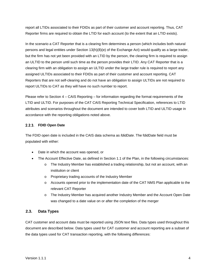report all LTIDs associated to their FDIDs as part of their customer and account reporting. Thus, CAT Reporter firms are required to obtain the LTID for each account (to the extent that an LTID exists).

In the scenario a CAT Reporter that is a clearing firm determines a person (which includes both natural persons and legal entities under Section 13(h)(8)(e) of the Exchange Act) would qualify as a large trader, but the firm has not yet been provided with an LTID by the person, the clearing firm is required to assign an ULTID to the person until such time as the person provides their LTID. Any CAT Reporter that is a clearing firm with an obligation to assign an ULTID under the large trader rule is required to report any assigned ULTIDs associated to their FDIDs as part of their customer and account reporting. CAT Reporters that are not self-clearing and do not have an obligation to assign ULTIDs are not required to report ULTIDs to CAT as they will have no such number to report.

Please refer to Section 4 – CAIS Reporting – for information regarding the format requirements of the LTID and ULTID. For purposes of the CAT CAIS Reporting Technical Specification, references to LTID attributes and scenarios throughout the document are intended to cover both LTID and ULTID usage in accordance with the reporting obligations noted above.

# <span id="page-9-0"></span>**FDID Open Date**

The FDID open date is included in the CAIS data schema as *fdidDate*. The fdidDate field must be populated with either:

- Date in which the account was opened, or
- The Account Effective Date, as defined in Section 1.1 of the Plan, in the following circumstances:
	- $\circ$  The Industry Member has established a trading relationship, but not an account, with an institution or client
	- o Proprietary trading accounts of the Industry Member
	- o Accounts opened prior to the implementation date of the CAT NMS Plan applicable to the relevant CAT Reporter
	- o The Industry Member has acquired another Industry Member and the Account Open Date was changed to a date value on or after the completion of the merger

# <span id="page-9-1"></span>**2.3. Data Types**

CAT customer and account data must be reported using JSON text files. Data types used throughout this document are described below. Data types used for CAT customer and account reporting are a subset of the data types used for CAT transaction reporting, with the following differences: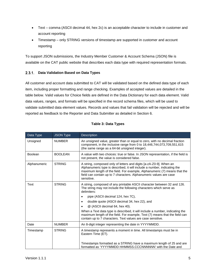- Text comma (ASCII decimal 44, hex 2c) is an acceptable character to include in customer and account reporting
- Timestamp only STRING versions of timestamp are supported in customer and account reporting

To support JSON submissions, the [Industry](https://catnmsplan.com/technical-specifications/index.html) Member Customer & Account Schema (JSON) file is available on the CAT public website that describes each data type with required representation formats.

# <span id="page-10-0"></span>**Data Validation Based on Data Types**

All customer and account data submitted to CAT will be validated based on the defined data type of each item, including proper formatting and range checking. Examples of accepted values are detailed in the table below. Valid values for Choice fields are defined in the Data Dictionary for each data element. Valid data values, ranges, and formats will be specified in the record schema files, which will be used to validate submitted data element values. Records and values that fail validation will be rejected and will be reported as feedback to the Reporter and Data Submitter as detailed in Section 6.

<span id="page-10-1"></span>

| Data Type    | <b>JSON Type</b> | Description                                                                                                                                                                                                                                                                                                     |  |  |  |  |
|--------------|------------------|-----------------------------------------------------------------------------------------------------------------------------------------------------------------------------------------------------------------------------------------------------------------------------------------------------------------|--|--|--|--|
| Unsigned     | <b>NUMBER</b>    | An unsigned value, greater than or equal to zero, with no decimal fraction<br>component, in the inclusive range from 0 to 18,446,744,073,709,551,615<br>(the same range as a 64-bit unsigned integer).                                                                                                          |  |  |  |  |
| Boolean      | <b>BOOLEAN</b>   | A value with two choices: true or false. In JSON representation, if the field is<br>not present, the value is considered false.                                                                                                                                                                                 |  |  |  |  |
| Alphanumeric | <b>STRING</b>    | A string, composed only of letters and digits [a-zA-Z0-9]. When an<br>Alphanumeric type is described, it will include a number, indicating the<br>maximum length of the field. For example, Alphanumeric (7) means that the<br>field can contain up to 7 characters. Alphanumeric values are case<br>sensitive. |  |  |  |  |
| Text         | <b>STRING</b>    | A string, composed of any printable ASCII character between 32 and 126.<br>The string may not include the following characters which serve as<br>delimiters:                                                                                                                                                    |  |  |  |  |
|              |                  | pipe (ASCII decimal 124, hex 7C),                                                                                                                                                                                                                                                                               |  |  |  |  |
|              |                  | double quote (ASCII decimal 34, hex 22), and<br>$\bullet$                                                                                                                                                                                                                                                       |  |  |  |  |
|              |                  | @ (ASCII decimal 64, hex 40).                                                                                                                                                                                                                                                                                   |  |  |  |  |
|              |                  | When a Text data type is described, it will include a number, indicating the<br>maximum length of the field. For example, Text (7) means that the field can<br>contain up to 7 characters. Text values are case sensitive.                                                                                      |  |  |  |  |
| Date         | <b>NUMBER</b>    | An 8-digit integer representing the date in YYYYMMDD.                                                                                                                                                                                                                                                           |  |  |  |  |
| Timestamp    | <b>STRING</b>    | A timestamp represents a moment in time. All timestamps must be in<br>Eastern Time (ET).                                                                                                                                                                                                                        |  |  |  |  |
|              |                  | Timestamps formatted as a STRING have a maximum length of 25 and are<br>formatted as 'YYYYMMDD HHMMSS.CCCNNNNNN' with the Date and                                                                                                                                                                              |  |  |  |  |

# **Table 3: Data Types**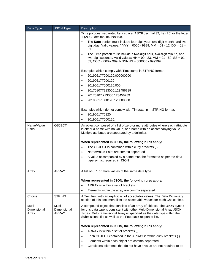| Data Type                      | <b>JSON Type</b>               | <b>Description</b>                                                                                                                                                                                                                                                                        |  |  |  |  |  |  |
|--------------------------------|--------------------------------|-------------------------------------------------------------------------------------------------------------------------------------------------------------------------------------------------------------------------------------------------------------------------------------------|--|--|--|--|--|--|
|                                |                                | Time portions, separated by a space (ASCII decimal 32, hex 20) or the letter<br>T (ASCII decimal 84, hex 54).                                                                                                                                                                             |  |  |  |  |  |  |
|                                |                                | The Date portion must include four-digit year, two-digit month, and two-<br>digit day. Valid values: YYYY = 0000 - 9999, MM = 01 - 12, DD = 01 -<br>31.                                                                                                                                   |  |  |  |  |  |  |
|                                |                                | The Time portion must include a two-digit hour, two-digit minute, and<br>$\bullet$<br>two-digit seconds. Valid values: $HH = 00 - 23$ , $MM = 01 - 59$ , $SS = 01 -$<br>59, CCC = $000 - 999$ , NNNNNN = $000000 - 999999$ .                                                              |  |  |  |  |  |  |
|                                |                                | Examples which comply with Timestamp in STRING format:                                                                                                                                                                                                                                    |  |  |  |  |  |  |
|                                |                                | 20190617T000120.000000000<br>$\bullet$                                                                                                                                                                                                                                                    |  |  |  |  |  |  |
|                                |                                | 20190617T000120<br>$\bullet$                                                                                                                                                                                                                                                              |  |  |  |  |  |  |
|                                |                                | 20190617T000120.000<br>$\bullet$                                                                                                                                                                                                                                                          |  |  |  |  |  |  |
|                                |                                | 20170107T213000.123456789<br>$\bullet$                                                                                                                                                                                                                                                    |  |  |  |  |  |  |
|                                |                                | 20170107 213000.123456789<br>$\bullet$                                                                                                                                                                                                                                                    |  |  |  |  |  |  |
|                                |                                | 20190617 000120.123000000                                                                                                                                                                                                                                                                 |  |  |  |  |  |  |
|                                |                                | Examples which do not comply with Timestamp in STRING format:                                                                                                                                                                                                                             |  |  |  |  |  |  |
|                                |                                | 20190617T0120                                                                                                                                                                                                                                                                             |  |  |  |  |  |  |
|                                |                                | 20190617T000120.<br>$\bullet$                                                                                                                                                                                                                                                             |  |  |  |  |  |  |
| Name/Value<br>Pairs            | <b>OBJECT</b>                  | An object composed of a list of zero or more attributes where each attribute<br>is either a name with no value, or a name with an accompanying value.<br>Multiple attributes are separated by a delimiter.                                                                                |  |  |  |  |  |  |
|                                |                                | When represented in JSON, the following rules apply:                                                                                                                                                                                                                                      |  |  |  |  |  |  |
|                                |                                | The OBJECT is contained within curly brackets $\{\}$<br>$\bullet$                                                                                                                                                                                                                         |  |  |  |  |  |  |
|                                |                                | Name/Value Pairs are comma separated<br>$\bullet$                                                                                                                                                                                                                                         |  |  |  |  |  |  |
|                                |                                | A value accompanied by a name must be formatted as per the data<br>$\bullet$                                                                                                                                                                                                              |  |  |  |  |  |  |
|                                |                                | type syntax required in JSON                                                                                                                                                                                                                                                              |  |  |  |  |  |  |
| Array                          | <b>ARRAY</b>                   | A list of 0, 1 or more values of the same data type.                                                                                                                                                                                                                                      |  |  |  |  |  |  |
|                                |                                | When represented in JSON, the following rules apply:                                                                                                                                                                                                                                      |  |  |  |  |  |  |
|                                |                                | ARRAY is within a set of brackets []<br>$\bullet$                                                                                                                                                                                                                                         |  |  |  |  |  |  |
|                                |                                | Elements within the array are comma separated.                                                                                                                                                                                                                                            |  |  |  |  |  |  |
| Choice                         | <b>STRING</b>                  | A Text field with an explicit list of acceptable values. The Data Dictionary<br>section of this document lists the acceptable values for each Choice field.                                                                                                                               |  |  |  |  |  |  |
| Multi-<br>Dimensional<br>Array | Multi-<br>Dimensional<br>ARRAY | A compound object that consists of an array of objects. The JSON syntax<br>for this data type is consistent with other Multi-Dimensional Array JSON<br>Types. Multi-Dimensional Array is specified as the data type within the<br>Submissions file as well as the Feedback response file. |  |  |  |  |  |  |
|                                |                                | When represented in JSON, the following rules apply:                                                                                                                                                                                                                                      |  |  |  |  |  |  |
|                                |                                | ARRAY is within a set of brackets []<br>$\bullet$                                                                                                                                                                                                                                         |  |  |  |  |  |  |
|                                |                                | Each OBJECT contained in the ARRAY is within curly brackets $\{\}$<br>$\bullet$                                                                                                                                                                                                           |  |  |  |  |  |  |
|                                |                                | Elements within each object are comma separated<br>٠                                                                                                                                                                                                                                      |  |  |  |  |  |  |
|                                |                                | Conditional elements that do not have a value are not required to be                                                                                                                                                                                                                      |  |  |  |  |  |  |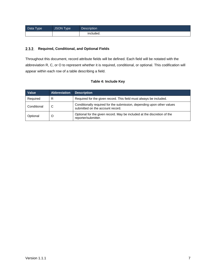| Data Type | JSON Type | <b>Description</b> |
|-----------|-----------|--------------------|
|           |           | included.          |

# <span id="page-12-0"></span>**Required, Conditional, and Optional Fields**

Throughout this document, record attribute fields will be defined. Each field will be notated with the abbreviation R, C, or O to represent whether it is required, conditional, or optional. This codification will appear within each row of a table describing a field.

# **Table 4: Include Key**

| Value       | <b>Abbreviation</b> | <b>Description</b>                                                                                         |
|-------------|---------------------|------------------------------------------------------------------------------------------------------------|
| Required    | R                   | Required for the given record. This field must always be included.                                         |
| Conditional | С                   | Conditionally required for the submission, depending upon other values<br>submitted on the account record. |
| Optional    | O                   | Optional for the given record. May be included at the discretion of the<br>reporter/submitter.             |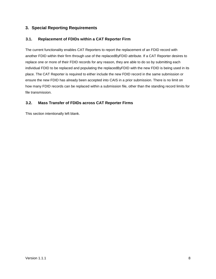# <span id="page-13-0"></span>**3. Special Reporting Requirements**

# <span id="page-13-1"></span>**3.1. Replacement of FDIDs within a CAT Reporter Firm**

The current functionality enables CAT Reporters to report the replacement of an FDID record with another FDID within their firm through use of the replacedByFDID attribute. If a CAT Reporter desires to replace one or more of their FDID records for any reason, they are able to do so by submitting each individual FDID to be replaced and populating the replacedByFDID with the new FDID is being used in its place. The CAT Reporter is required to either include the new FDID record in the same submission or ensure the new FDID has already been accepted into CAIS in a prior submission. There is no limit on how many FDID records can be replaced within a submission file, other than the standing record limits for file transmission.

# <span id="page-13-2"></span>**3.2. Mass Transfer of FDIDs across CAT Reporter Firms**

This section intentionally left blank.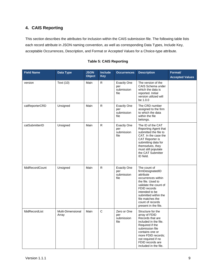# <span id="page-14-0"></span>**4. CAIS Reporting**

This section describes the attributes for inclusion within the CAIS submission file. The following table lists each record attribute in JSON naming convention, as well as corresponding Data Types, Include Key, acceptable Occurrences, Description, and Format or Accepted Values for a Choice-type attribute.

| <b>Field Name</b> | Data Type                  | <b>JSON</b><br><b>Object</b> | <b>Include</b><br><b>Key</b> | <b>Occurrences</b>                              | <b>Description</b>                                                                                                                                                                                                                          | Format/<br><b>Accepted Values</b> |
|-------------------|----------------------------|------------------------------|------------------------------|-------------------------------------------------|---------------------------------------------------------------------------------------------------------------------------------------------------------------------------------------------------------------------------------------------|-----------------------------------|
| version           | Text (10)                  | Main                         | R                            | <b>Exactly One</b><br>per<br>submission<br>file | The version of the<br>CAIS Schema under<br>which the data is<br>reported. Initial<br>version utilized will<br>be 1.0.0                                                                                                                      |                                   |
| catReporterCRD    | Unsigned                   | Main                         | R                            | <b>Exactly One</b><br>per<br>submission<br>file | The CRD number<br>assigned to the firm<br>to which the data<br>within the file<br>belongs.                                                                                                                                                  |                                   |
| catSubmitterID    | Unsigned                   | Main                         | R                            | <b>Exactly One</b><br>per<br>submission<br>file | The ID of the CAT<br>Reporting Agent that<br>submitted the file to<br>CAT. In the case the<br>CAT Reporter is<br>submitting data for<br>themselves, they<br>must still populate<br>the CAT Submitter<br>ID field.                           |                                   |
| fdidRecordCount   | Unsigned                   | Main                         | R                            | <b>Exactly One</b><br>per<br>submission<br>file | The count of<br>firmDesignatedID<br>attribute<br>occurrences within<br>the file. Used to<br>validate the count of<br>FDID records<br>intended to be<br>submitted within the<br>file matches the<br>count of records<br>present in the file. |                                   |
| fdidRecordList    | Multi-Dimensional<br>Array | Main                         | C                            | Zero or One<br>per<br>submission<br>file        | Structure for the<br>array of FDID<br>Records that are<br>included in the file.<br>Required if the<br>submission file<br>contains one or<br>more FDID records;<br>not required if no<br>FDID records are<br>included in the file.           |                                   |

#### **Table 5: CAIS Reporting**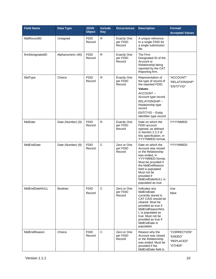| <b>Field Name</b> | Data Type         | <b>JSON</b><br><b>Object</b> | <b>Include</b><br><b>Key</b> | <b>Occurrences</b>                       | <b>Description</b>                                                                                                                                                                                                                               | Format/<br><b>Accepted Values</b>                |
|-------------------|-------------------|------------------------------|------------------------------|------------------------------------------|--------------------------------------------------------------------------------------------------------------------------------------------------------------------------------------------------------------------------------------------------|--------------------------------------------------|
| fdidRecordID      | Unsigned          | <b>FDID</b><br>Record        | $\mathsf R$                  | <b>Exactly One</b><br>per FDID<br>Record | A unique reference<br>to a single FDID for<br>a single submission<br>file.                                                                                                                                                                       |                                                  |
| firmDesignatedID  | Alphanumeric (40) | <b>FDID</b><br>Record        | R                            | <b>Exactly One</b><br>per FDID<br>Record | The Firm<br>Designated ID of the<br>Account or<br>Relationship being<br>reported by the CAT<br>Reporting firm.                                                                                                                                   |                                                  |
| fdidType          | Choice            | <b>FDID</b><br>Record        | $\mathsf{R}$                 | <b>Exactly One</b><br>per FDID<br>Record | Representation of<br>the type of record of<br>the reported FDID.<br>Values:<br>ACCOUNT-<br>Account type record<br>RELATIONSHIP-<br>Relationship type<br>record<br><b>ENTITYID - Entity</b><br>Identifier type record                             | "ACCOUNT"<br>"RELATIONSHIP"<br>"ENTITYID"        |
| fdidDate          | Date (Number) (8) | <b>FDID</b><br>Record        | R                            | <b>Exactly One</b><br>per FDID<br>Record | Date on which the<br>FDID account<br>opened, as defined<br>in Section 2.2.3 of<br>this specification, in<br>YYYYMMDD format.                                                                                                                     | YYYYMMDD                                         |
| fdidEndDate       | Date (Number) (8) | <b>FDID</b><br>Record        | $\mathsf C$                  | Zero or One<br>per FDID<br>Record        | Date on which the<br>Account was closed<br>or the Relationship<br>was ended, in<br>YYYYMMDD format.<br>Must be provided if<br>the fdidEndReason<br>field is populated.<br>Must not be<br>provided if<br>fdidEndDateNULL is<br>populated as true. | YYYYMMDD                                         |
| fdidEndDateNULL   | <b>Boolean</b>    | <b>FDID</b><br>Record        | $\mathsf C$                  | Zero or One<br>per FDID<br>Record        | Indicates any<br>fdidEndDate<br>currently stored in<br>CAT CAIS should be<br>cleared. Must be<br>provided as true if<br>fdidEndReasonNUL<br>L is populated as<br>true. Must not be<br>provided as true if<br>fdidEndDate is<br>populated.        | true<br>false                                    |
| fdidEndReason     | Choice            | <b>FDID</b><br>Record        | $\mathsf{C}$                 | Zero or One<br>per FDID<br>Record        | Reason why the<br>Account was closed<br>or the Relationship<br>was ended. Must be<br>provided if the<br>fdidEndDate field is                                                                                                                     | "CORRECTION"<br>"ENDED"<br>"REPLACED"<br>"OTHER" |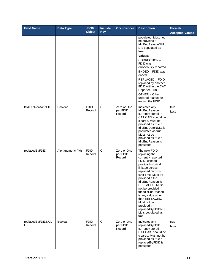| <b>Field Name</b>      | Data Type         | <b>JSON</b><br><b>Object</b> | Include<br><b>Key</b> | <b>Occurrences</b>                | <b>Description</b>                                                                                                                                                                                                                                                                                                                                                                  | Format/<br><b>Accepted Values</b> |
|------------------------|-------------------|------------------------------|-----------------------|-----------------------------------|-------------------------------------------------------------------------------------------------------------------------------------------------------------------------------------------------------------------------------------------------------------------------------------------------------------------------------------------------------------------------------------|-----------------------------------|
|                        |                   |                              |                       |                                   | populated. Must not<br>be provided if<br>fdidEndReasonNUL<br>L is populated as<br>true.<br>Values:<br>CORRECTION-<br>FDID was<br>erroneously reported<br>ENDED - FDID was<br>ended<br><b>REPLACED - FDID</b><br>replaced by another<br>FDID within the CAT<br>Reporter Firm.<br>OTHER - Other<br>unlisted reason for<br>ending the FDID                                             |                                   |
| fdidEndReasonNULL      | <b>Boolean</b>    | <b>FDID</b><br>Record        | $\mathbf C$           | Zero or One<br>per FDID<br>Record | Indicates any<br>fdidEndReason<br>currently stored in<br>CAT CAIS should be<br>cleared. Must be<br>provided as true if<br>fdidEndDateNULL is<br>populated as true.<br>Must not be<br>provided as true if<br>fdidEndReason is<br>populated.                                                                                                                                          | true<br>false                     |
| replacedByFDID         | Alphanumeric (40) | <b>FDID</b><br>Record        | $\mathsf C$           | Zero or One<br>per FDID<br>Record | The new FDID<br>replacing the<br>currently reported<br>FDID, used to<br>provide historical<br>linkage across<br>replaced records<br>over time. Must be<br>provided if the<br>fdidEndReason is<br>REPLACED. Must<br>not be provided if<br>the fdidEndReason<br>is any value other<br>than REPLACED.<br>Must not be<br>provided if<br>replacedByFDIDNU<br>LL is populated as<br>true. |                                   |
| replacedByFDIDNUL<br>L | Boolean           | <b>FDID</b><br>Record        | $\mathbf C$           | Zero or One<br>per FDID<br>Record | Indicates any<br>replacedByFDID<br>currently stored in<br>CAT CAIS should be<br>cleared. Must not be<br>provided as true if<br>replacedByFDID is<br>populated.                                                                                                                                                                                                                      | true<br>false                     |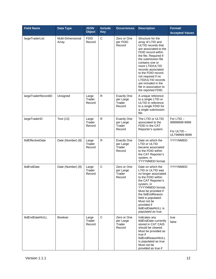| <b>Field Name</b>        | Data Type                  | <b>JSON</b><br><b>Object</b> | <b>Include</b><br><b>Key</b> | <b>Occurrences</b>                                  | <b>Description</b>                                                                                                                                                                                                                                                                                                                                                | Format/<br><b>Accepted Values</b>                         |
|--------------------------|----------------------------|------------------------------|------------------------------|-----------------------------------------------------|-------------------------------------------------------------------------------------------------------------------------------------------------------------------------------------------------------------------------------------------------------------------------------------------------------------------------------------------------------------------|-----------------------------------------------------------|
| largeTraderList          | Multi-Dimensional<br>Array | <b>FDID</b><br>Record        | $\mathsf C$                  | Zero or One<br>per FDID<br>Record                   | Structure for the<br>array of LTID and<br>ULTID records that<br>are associated to the<br>FDID record within<br>the file. Required if<br>the submission file<br>contains one or<br>more LTID/ULTID<br>records associated<br>to the FDID record;<br>not required if no<br>LTID/ULTID records<br>are included in the<br>file in association to<br>the reported FDID. |                                                           |
| largeTraderRecordID      | Unsigned                   | Large<br>Trader<br>Record    | R                            | <b>Exactly One</b><br>per Large<br>Trader<br>Record | A unique reference<br>to a single LTID or<br>ULTID in reference<br>to a single FDID for<br>a single submission<br>file.                                                                                                                                                                                                                                           |                                                           |
| largeTraderID            | Text (13)                  | Large<br>Trader<br>Record    | R                            | <b>Exactly One</b><br>per Large<br>Trader<br>Record | The LTID or ULTID<br>associated to the<br>FDID in the CAT<br>Reporter's system.                                                                                                                                                                                                                                                                                   | For LTID-<br>99999999-9999<br>For ULTID-<br>ULT99999-9999 |
| <b>ItidEffectiveDate</b> | Date (Number) (8)          | Large<br>Trader<br>Record    | ${\sf R}$                    | <b>Exactly One</b><br>per Large<br>Trader<br>Record | Date on which the<br>LTID or ULTID<br>became associated<br>to the FDID within<br>the CAT Reporter's<br>system, in<br>YYYYMMDD format.                                                                                                                                                                                                                             | YYYYMMDD                                                  |
| <b>ItidEndDate</b>       | Date (Number) (8)          | Large<br>Trader<br>Record    | $\mathsf C$                  | Zero or One<br>per Large<br>Trader<br>Record        | Date on which the<br>LTID or ULTID was<br>no longer associated<br>to the FDID within<br>the CAT Reporter's<br>system, in<br>YYYYMMDD format.<br>Must be provided if<br>the ItidEndReason<br>field is populated.<br>Must not be<br>provided if<br>ItidEndDateNULL is<br>populated as true.                                                                         | YYYYMMDD                                                  |
| <b>ItidEndDateNULL</b>   | <b>Boolean</b>             | Large<br>Trader<br>Record    | $\mathsf{C}$                 | Zero or One<br>per Large<br>Trader<br>Record        | Indicates any<br>ItidEndDate currently<br>stored in CAT CAIS<br>should be cleared.<br>Must be provided as<br>true if<br>ltidEndReasonNULL<br>is populated as true.<br>Must not be<br>provided as true if                                                                                                                                                          | true<br>false                                             |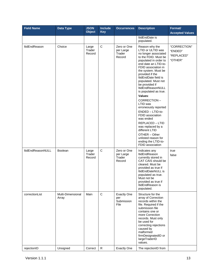| <b>Field Name</b> | Data Type                  | <b>JSON</b><br><b>Object</b> | <b>Include</b><br><b>Key</b> | <b>Occurrences</b>                              | <b>Description</b>                                                                                                                                                                                                                                                                                                                                                                                                                                                                                                                                                                          | Format/<br><b>Accepted Values</b>                |
|-------------------|----------------------------|------------------------------|------------------------------|-------------------------------------------------|---------------------------------------------------------------------------------------------------------------------------------------------------------------------------------------------------------------------------------------------------------------------------------------------------------------------------------------------------------------------------------------------------------------------------------------------------------------------------------------------------------------------------------------------------------------------------------------------|--------------------------------------------------|
|                   |                            |                              |                              |                                                 | ItidEndDate is<br>populated.                                                                                                                                                                                                                                                                                                                                                                                                                                                                                                                                                                |                                                  |
| ltidEndReason     | Choice                     | Large<br>Trader<br>Record    | $\mathsf C$                  | Zero or One<br>per Large<br>Trader<br>Record    | Reason why the<br>LTID or ULTID was<br>no longer associated<br>to the FDID. Must be<br>populated in order to<br>end date an LTID-to-<br>FDID association in<br>the system. Must be<br>provided if the<br>ItidEndDate field is<br>populated. Must not<br>be provided if<br>ltidEndReasonNULL<br>is populated as true.<br>Values:<br>CORRECTION-<br>LTID was<br>erroneously reported<br>ENDED - LTID-to-<br>FDID association<br>was ended<br><b>REPLACED - LTID</b><br>was replaced by a<br>different LTID<br>OTHER - Other<br>unlisted reason for<br>ending the LTID-to-<br>FDID association | "CORRECTION"<br>"ENDED"<br>"REPLACED"<br>"OTHER" |
| ltidEndReasonNULL | Boolean                    | Large<br>Trader<br>Record    | $\mathbf C$                  | Zero or One<br>per Large<br>Trader<br>Record    | Indicates any<br>ltidEndReason<br>currently stored in<br>CAT CAIS should be<br>cleared. Must be<br>provided as true if<br>ItidEndDateNULL is<br>populated as true.<br>Must not be<br>provided as true if<br>ItidEndReason is<br>populated.                                                                                                                                                                                                                                                                                                                                                  | true<br>false                                    |
| correctionList    | Multi-Dimensional<br>Array | Main                         | $\mathbf C$                  | <b>Exactly One</b><br>per<br>Submission<br>File | Structure for the<br>array of Correction<br>records within the<br>file. Required if the<br>submission file<br>contains one or<br>more Correction<br>records. Must only<br>be used for<br>correcting rejections<br>caused by<br>malformed<br>firmDesignatedID or<br>largeTraderID<br>values.                                                                                                                                                                                                                                                                                                 |                                                  |
| rejectionID       | Unsigned                   | Correct                      | ${\sf R}$                    | <b>Exactly One</b>                              | The rejectionID from                                                                                                                                                                                                                                                                                                                                                                                                                                                                                                                                                                        |                                                  |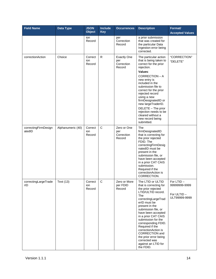| <b>Field Name</b>              | Data Type         | <b>JSON</b><br><b>Object</b> | <b>Include</b><br><b>Key</b> | <b>Occurrences</b>                                | <b>Description</b>                                                                                                                                                                                                                                                                                                                                                                                                 | Format/<br><b>Accepted Values</b>                          |
|--------------------------------|-------------------|------------------------------|------------------------------|---------------------------------------------------|--------------------------------------------------------------------------------------------------------------------------------------------------------------------------------------------------------------------------------------------------------------------------------------------------------------------------------------------------------------------------------------------------------------------|------------------------------------------------------------|
|                                |                   | ion<br>Record                |                              | per<br>Correction<br>Record                       | a prior submission<br>that was created for<br>the particular Data<br>Ingestion error being<br>corrected.                                                                                                                                                                                                                                                                                                           |                                                            |
| correctionAction               | Choice            | Correct<br>ion<br>Record     | ${\sf R}$                    | <b>Exactly One</b><br>per<br>Correction<br>Record | The particular action<br>that is being taken to<br>correct for the prior<br>rejection.<br>Values:<br>CORRECTION - A<br>new entry is<br>included in the<br>submission file to<br>correct for the prior<br>rejected record<br>using a new<br>firmDesignatedID or<br>new largeTraderID.<br>DELETE - The prior<br>rejection needs to be<br>cleared without a<br>new record being<br>submitted.                         | "CORRECTION"<br>"DELETE"                                   |
| correctingFirmDesign<br>atedID | Alphanumeric (40) | Correct<br>ion<br>Record     | $\mathsf C$                  | Zero or One<br>per<br>Correction<br>Record        | The<br>firmDesignatedID<br>that is correcting for<br>the prior rejected<br>FDID. The<br>correctingFirmDesig<br>natedID must be<br>present in the<br>submission file, or<br>have been accepted<br>in a prior CAT CAIS<br>submission.<br>Required if the<br>correctionAction is<br>CORRECTION.                                                                                                                       |                                                            |
| correctingLargeTrade<br>rID    | Text (13)         | Correct<br>ion<br>Record     | C                            | Zero or More<br>per FDID<br>Record                | The LTID or ULTID<br>that is correcting for<br>the prior rejected<br>LTID/ULTID record.<br>The<br>correctingLargeTrad<br>erID must be<br>present in the<br>submission file, or<br>have been accepted<br>in a prior CAT CAIS<br>submission for the<br>corresponding FDID.<br>Required if the<br>correctionAction is<br>CORRECTION and<br>the prior error being<br>corrected was<br>against an LTID for<br>the FDID. | For LTID -<br>99999999-9999<br>For ULTID-<br>ULT99999-9999 |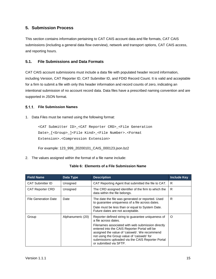# <span id="page-20-0"></span>**5. Submission Process**

This section contains information pertaining to CAT CAIS account data and file formats, CAT CAIS submissions (including a general data flow overview), network and transport options, CAT CAIS access, and reporting hours.

# <span id="page-20-1"></span>**5.1. File Submissions and Data Formats**

CAT CAIS account submissions must include a data file with populated header record information, including Version, CAT Reporter ID, CAT Submitter ID, and FDID Record Count. It is valid and acceptable for a firm to submit a file with only this header information and record counts of zero, indicating an intentional submission of no account record data. Data files have a prescribed naming convention and are supported in JSON format.

# <span id="page-20-2"></span>**File Submission Names**

1. Data Files must be named using the following format:

```
<CAT Submitter ID>_<CAT Reporter CRD>_<File Generation 
Date>_[<Group>_]<File Kind>_<File Number>.<Format 
Extension>.<Compression Extension>
```
For example: 123\_999\_20200101\_CAIS\_000123.json.bz2

2. The values assigned within the format of a file name include:

|  |  |  |  | Table 6: Elements of a File Submission Name |  |
|--|--|--|--|---------------------------------------------|--|
|--|--|--|--|---------------------------------------------|--|

| <b>Field Name</b>           | Data Type         | <b>Description</b>                                                                                                                                                                                                                                                                                                                                             | <b>Include Key</b> |
|-----------------------------|-------------------|----------------------------------------------------------------------------------------------------------------------------------------------------------------------------------------------------------------------------------------------------------------------------------------------------------------------------------------------------------------|--------------------|
| <b>CAT Submitter ID</b>     | Unsigned          | CAT Reporting Agent that submitted the file to CAT.                                                                                                                                                                                                                                                                                                            | R.                 |
| <b>CAT Reporter CRD</b>     | Unsigned          | The CRD assigned identifier of the firm to which the<br>data within the file belongs.                                                                                                                                                                                                                                                                          | R                  |
| <b>File Generation Date</b> | Date              | The date the file was generated or reported. Used<br>to guarantee uniqueness of a file across dates.<br>Date must be less than or equal to System Date.<br>Future dates are not acceptable.                                                                                                                                                                    | R                  |
| Group                       | Alphanumeric (20) | Reporter defined string to guarantee uniqueness of<br>a file across dates.<br>Filenames associated with web submission directly<br>entered into the CAIS Reporter Portal will be<br>assigned the value of 'caisweb'. We recommend<br>not using the Group value of 'caisweb' for<br>submissions uploaded via the CAIS Reporter Portal<br>or submitted via SFTP. | $\Omega$           |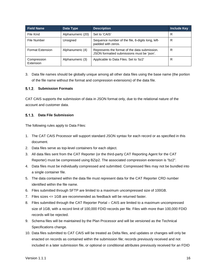| <b>Field Name</b>        | Data Type         | <b>Description</b>                                                                          | Include Key |
|--------------------------|-------------------|---------------------------------------------------------------------------------------------|-------------|
| File Kind                | Alphanumeric (20) | Set to 'CAIS'                                                                               | R           |
| File Number              | Unsigned          | Sequence number of the file, 6-digits long, left-<br>padded with zeros.                     | R           |
| <b>Format Extension</b>  | Alphanumeric (4)  | Represents the format of the data submission.<br>JSON formatted submissions must be 'json'. | R           |
| Compression<br>Extension | Alphanumeric (3)  | Applicable to Data Files. Set to 'bz2'                                                      | R           |

3. Data file names should be globally unique among all other data files using the base name (the portion of the file name without the format and compression extensions) of the data file.

#### <span id="page-21-0"></span>**Submission Formats**

CAT CAIS supports the submission of data in JSON format only, due to the relational nature of the account and customer data.

# <span id="page-21-1"></span>**Data File Submission**

The following rules apply to Data Files:

- 1. The CAT CAIS Processor will support standard JSON syntax for each record or as specified in this document.
- 2. Data files serve as top-level containers for each object.
- 3. All data files sent from the CAT Reporter (or the third-party CAT Reporting Agent for the CAT Reporter) must be compressed using BZip2. The associated compression extension is "bz2".
- 4. Data files must be individually compressed and submitted. Compressed files may not be bundled into a single container file.
- 5. The data contained within the data file must represent data for the CAT Reporter CRD number identified within the file name.
- 6. Files submitted through SFTP are limited to a maximum uncompressed size of 100GB.
- 7. Files sizes <= 1GB are recommended as feedback will be returned faster.
- 8. Files submitted through the CAT Reporter Portal CAIS are limited to a maximum uncompressed size of 1GB, with a record limit of 100,000 FDID records per file. Files with more than 100,000 FDID records will be rejected.
- 9. Schema files will be maintained by the Plan Processor and will be versioned as the Technical Specifications change.
- 10. Data files submitted to CAT CAIS will be treated as Delta files, and updates or changes will only be enacted on records as contained within the submission file; records previously received and not included in a later submission file, or optional or conditional attributes previously received for an FDID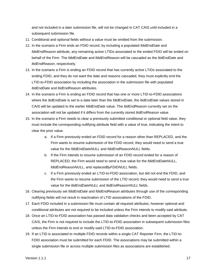and not included in a later submission file, will not be changed in CAT CAIS until included in a subsequent submission file.

- 11. Conditional and optional fields without a value must be omitted from the submission.
- 12. In the scenario a Firm ends an FDID record, by including a populated *fdidEndDate* and *fdidEndReason* attribute, any remaining active LTIDs associated to the ended FDID will be ended on behalf of the Firm. The *fdidEndDate* and *fdidEndReason* will be cascaded as the *ltidEndDate* and *ltidEndReason*, respectively.
- 13. In the scenario a Firm is ending an FDID record that has currently active LTIDs associated to the ending FDID, and they do not want the date and reasons cascaded, they must explicitly end the LTID-to-FDID association by including the association in the submission file with populated *ltidEndDate* and *ltidEndReason* attributes.
- 14. In the scenario a Firm is ending an FDID record that has one or more LTID-to-FDID associations where the *ltidEndDate* is set to a date later than the *fdidEndDate*, the *ltidEndDate* values stored in CAIS will be updated to the earlier *fdidEndDate* value. The *ltidEndReason* currently set on the association will not be updated if it differs from the currently stored *ltidEndReason* value.
- 15. In the scenario a Firm needs to clear a previously submitted conditional or optional field value, they must include the corresponding nullifying attribute field with a value of true, indicating the intent to clear the prior value.
	- a. If a Firm previously ended an FDID record for a reason other than REPLACED, and the Firm wants to resume submission of the FDID record, they would need to send a true value for the *fdidEndDateNULL* and *fdidEndReasonNULL* fields.
	- b. If the Firm intends to resume submission of an FDID record ended for a reason of REPLACED, the Firm would need to send a true value for the *fdidEndDateNULL*, *fdidEndReasonNULL*, and *replacedByFDIDNULL* fields.
	- c. If a Firm previously ended an LTID-to-FDID association, but did not end the FDID, and the Firm wants to resume submission of the LTID record, they would need to send a true value for the *ltidEndDateNULL* and *ltidEndReasonNULL* fields.
- 16. Clearing previously set *fdidEndDate* and *fdidEndReason* attributes through use of the corresponding nullifying fields will not result in reactivation of LTID associations of the FDID.
- 17. Each FDID included in a submission file must contain all required attributes, however optional and conditional attributes are not required to be included unless the Firm intends to modify said attribute.
- 18. Once an LTID-to-FDID association has passed data validation checks and been accepted by CAT CAIS, the Firm is not required to include the LTID-to-FDID association in subsequent submission files unless the Firm intends to end or modify said LTID-to-FDID association.
- 19. If an LTID is associated to multiple FDID records within a single CAT Reporter Firm, the LTID-to-FDID association must be submitted for each FDID. The associations may be submitted within a single submission file or across multiple submission files as associations are established.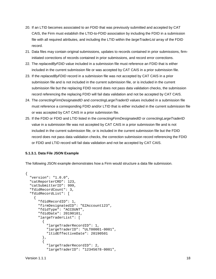- 20. If an LTID becomes associated to an FDID that was previously submitted and accepted by CAT CAIS, the Firm must establish the LTID-to-FDID association by including the FDID in a submission file with all required attributes, and including the LTID within the *largeTraderList* array of the FDID record.
- 21. Data files may contain original submissions, updates to records contained in prior submissions, firminitiated corrections of records contained in prior submissions, and record error corrections.
- 22. The *replacedByFDID* value included in a submission file must reference an FDID that is either included in the current submission file or was accepted by CAT CAIS in a prior submission file.
- 23. If the *replacedByFDID* record in a submission file was not accepted by CAT CAIS in a prior submission file and is not included in the current submission file, or is included in the current submission file but the replacing FDID record does not pass data validation checks, the submission record referencing the replacing FDID will fail data validation and not be accepted by CAT CAIS.
- 24. The *correctingFirmDesignatedID* and *correctingLargeTraderID* values included in a submission file must reference a corresponding FDID and/or LTID that is either included in the current submission file or was accepted by CAT CAIS in a prior submission file.
- 25. If the FDID or FDID and LTID listed in the *correctingFirmDesignatedID* or *correctingLargeTraderID* value in a submission file was not accepted by CAT CAIS in a prior submission file and is not included in the current submission file, or is included in the current submission file but the FDID record does not pass data validation checks, the correction submission record referencing the FDID or FDID and LTID record will fail data validation and not be accepted by CAT CAIS.

#### **5.1.3.1. Data File JSON Example**

The following JSON example demonstrates how a Firm would structure a data file submission.

```
{
   "version": "1.0.0",
   "catReporterCRD": 123,
   "catSubmitterID": 999,
  "fdidRecordCount": 3,
   "fdidRecordList": [
\sim {
       "fdidRecordID": 1, 
       "firmDesignatedID": "EZAccount123",
       "fdidType": "ACCOUNT",
       "fdidDate": 20190101,
       "largeTraderList": [
\overline{\mathcal{A}} "largeTraderRecordID": 1,
           "largeTraderID": "ULT00001-0001",
           "ltidEffectiveDate": 20190501
         },
\{ "largeTraderRecordID": 2,
           "largeTraderID": "12345678-0001",
```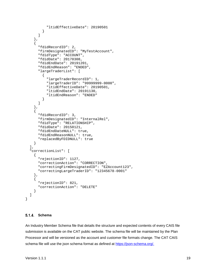```
 "ltidEffectiveDate": 20190501
 }
       ]
     },
\mathcal{L} "fdidRecordID": 2,
       "firmDesignatedID": "MyTestAccount",
       "fdidType": "ACCOUNT",
       "fdidDate": 20170308,
       "fdidEndDate": 20191201,
       "fdidEndReason": "ENDED",
       "largeTraderList": [
\{ "largeTraderRecordID": 1,
           "largeTraderID": "99999999-0000",
           "ltidEffectiveDate": 20190501,
           "ltidEndDate": 20191130,
         "ltidEndReason": "ENDED"
 }
       ]
     },
\sim {
       "fdidRecordID": 3,
       "firmDesignatedID": "InternalRel",
       "fdidType": "RELATIONSHIP",
       "fdidDate": 20150121,
       "fdidEndDateNULL": true,
       "fdidEndReasonNULL": true,
       "replacedByFDIDNULL": true
     }
  ],
   "correctionList": [
    \{ "rejectionID": 1127,
       "correctionAction": "CORRECTION",
       "correctingFirmDesignatedID": "EZAccount123",
       "correctingLargeTraderID": "12345678-0001"
     },
    \left\{ \right. "rejectionID": 821,
       "correctionAction": "DELETE"
     }
  ]
```
#### <span id="page-24-0"></span>**Schema**

}

An Industry Member Schema file that details the structure and expected contents of every CAIS file submission is available on the CAT public website. The schema file will be maintained by the Plan Processor and will be versioned as the account and customer file formats change. The CAT CAIS schema file will use the json schema format as defined at [https://json-schema.org/.](https://json-schema.org/)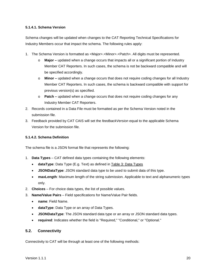# **5.1.4.1. Schema Version**

Schema changes will be updated when changes to the CAT Reporting Technical Specifications for Industry Members occur that impact the schema. The following rules apply:

- 1. The Schema Version is formatted as <Major>.<Minor>.<Patch>. All digits must be represented.
	- o **Major –** updated when a change occurs that impacts all or a significant portion of Industry Member CAT Reporters. In such cases, the schema is not be backward compatible and will be specified accordingly.
	- o **Minor –** updated when a change occurs that does not require coding changes for all Industry Member CAT Reporters. In such cases, the schema is backward compatible with support for previous version(s) as specified.
	- o **Patch –** updated when a change occurs that does not require coding changes for any Industry Member CAT Reporters.
- 2. Records contained in a Data File must be formatted as per the Schema Version noted in the submission file.
- 3. Feedback provided by CAT CAIS will set the *feedbackVersion* equal to the applicable Schema Version for the submission file.

# **5.1.4.2. Schema Definition**

The schema file is a JSON format file that represents the following:

- 1. **Data Types** CAT defined data types containing the following elements:
	- **dataType**: Data Type (E.g. Text) as defined in [Table 3: Data Types](#page-10-1)
	- **JSONDataType**: JSON standard data type to be used to submit data of this type.
	- **maxLength**: Maximum length of the string submission. Applicable to text and alphanumeric types only.
- 2. **Choices** For choice data types, the list of possible values.
- 3. **Name/Value Pairs**  Field specifications for Name/Value Pair fields.
	- **name**: Field Name.
	- **dataType**: Data Type or an array of Data Types.
	- **JSONDataType**: The JSON standard data type or an array or JSON standard data types.
	- **required**: Indicates whether the field is "Required," "Conditional," or "Optional."

# <span id="page-25-0"></span>**5.2. Connectivity**

Connectivity to CAT will be through at least one of the following methods: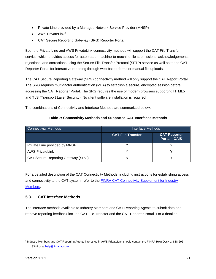- Private Line provided by a Managed Network Service Provider (MNSP)
- $\bullet$  AWS PrivateLink<sup>[3](#page-26-1)</sup>
- CAT Secure Reporting Gateway (SRG) Reporter Portal

Both the Private Line and AWS PrivateLink connectivity methods will support the CAT File Transfer service, which provides access for automated, machine-to-machine file submissions, acknowledgements, rejections, and corrections using the Secure File Transfer Protocol (SFTP) service as well as to the CAT Reporter Portal for interactive reporting through web-based forms or manual file uploads.

The CAT Secure Reporting Gateway (SRG) connectivity method will only support the CAT Report Portal. The SRG requires multi-factor authentication (MFA) to establish a secure, encrypted session before accessing the CAT Reporter Portal. The SRG requires the use of modern browsers supporting HTML5 and TLS (Transport Layer Security). No client software installation is required.

The combinations of Connectivity and Interface Methods are summarized below.

| <b>Connectivity Methods</b>               | Interface Methods        |                                             |  |  |
|-------------------------------------------|--------------------------|---------------------------------------------|--|--|
|                                           | <b>CAT File Transfer</b> | <b>CAT Reporter</b><br><b>Portal - CAIS</b> |  |  |
| Private Line provided by MNSP             |                          |                                             |  |  |
| <b>AWS PrivateLink</b>                    |                          |                                             |  |  |
| <b>CAT Secure Reporting Gateway (SRG)</b> | N                        |                                             |  |  |

For a detailed description of the CAT Connectivity Methods, including instructions for establishing access and connectivity to the CAT system, refer to the [FINRA CAT Connectivity Supplement for Industry](https://www.catnmsplan.com/registration/)  [Members.](https://www.catnmsplan.com/registration/)

# <span id="page-26-0"></span>**5.3. CAT Interface Methods**

The interface methods available to Industry Members and CAT Reporting Agents to submit data and retrieve reporting feedback include CAT File Transfer and the CAT Reporter Portal. For a detailed

j

<span id="page-26-1"></span><sup>3</sup> Industry Members and CAT Reporting Agents interested in AWS PrivateLink should contact the FINRA Help Desk at 888-696 3348 or a[t help@finracat.com.](mailto:help@finracat.com)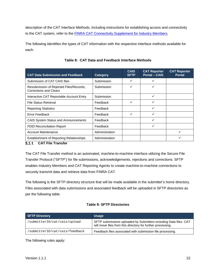description of the CAT Interface Methods, including instructions for establishing access and connectivity to the CAT system, refer to the **FINRA CAT Connectivity Supplement for Industry Members**.

The following identifies the types of CAT information with the respective interface methods available for each:

<span id="page-27-1"></span>

| <b>CAT Data Submission and Feedback</b>                                    | <b>Category</b> | <b>CAIS</b><br><b>SFTP</b> | <b>CAT Reporter</b><br><b>Portal - CAIS</b> | <b>CAT Reporter</b><br><b>Portal</b> |
|----------------------------------------------------------------------------|-----------------|----------------------------|---------------------------------------------|--------------------------------------|
| Submission of CAT CAIS files                                               | Submission      | ✓                          | ✓                                           |                                      |
| Resubmission of Rejected Files/Records,<br><b>Corrections and Clears</b>   | Submission      | ✓                          | ✓                                           |                                      |
| Interactive CAT Reportable Account Entry                                   | Submission      |                            | ✓                                           |                                      |
| <b>File Status Retrieval</b>                                               | Feedback        | ✓                          | ✓                                           |                                      |
| <b>Reporting Statistics</b>                                                | Feedback        |                            | ✓                                           |                                      |
| Error Feedback                                                             | Feedback        | ✓                          | ✓                                           |                                      |
| CAIS System Status and Announcements                                       | Feedback        |                            | ✓                                           |                                      |
| FDID Reconciliation Report                                                 | Feedback        |                            | ✓                                           |                                      |
| <b>Account Maintenance</b>                                                 | Administration  |                            |                                             |                                      |
| <b>Establishment of Reporting Relationships</b><br>E 9 4 CAT Eile Tropofor | Administration  |                            |                                             |                                      |

# **Table 8: CAT Data and Feedback Interface Methods**

# <span id="page-27-0"></span>**CAT File Transfer**

The CAT File Transfer method is an automated, machine-to-machine interface utilizing the Secure File Transfer Protocol ("SFTP") for file submissions, acknowledgements, rejections and corrections. SFTP enables Industry Members and CAT Reporting Agents to create machine-to-machine connections to securely transmit data and retrieve data from FINRA CAT.

The following is the SFTP directory structure that will be made available in the submitter's home directory. Files associated with data submissions and associated feedback will be uploaded in SFTP directories as per the following table.

# **Table 9: SFTP Directories**

| <b>SFTP Directory</b>          | <b>Usage</b>                                                                                                                     |
|--------------------------------|----------------------------------------------------------------------------------------------------------------------------------|
| 'submitterID/cat/cais/upload   | SFTP submissions uploaded by Submitters including Data files. CAT<br>will move files from this directory for further processing. |
| 'submitterID/cat/cais/feedback | Feedback files associated with submission file processing.                                                                       |

The following rules apply: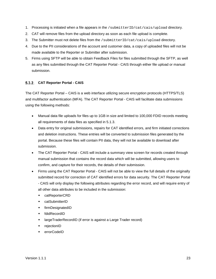- 1. Processing is initiated when a file appears in the /submitterID/cat/cais/upload directory.
- 2. CAT will remove files from the upload directory as soon as each file upload is complete.
- 3. The Submitter must not delete files from the /submitterID/cat/cais/upload directory.
- 4. Due to the PII considerations of the account and customer data, a copy of uploaded files will not be made available to the Reporter or Submitter after submission.
- 5. Firms using SFTP will be able to obtain Feedback Files for files submitted through the SFTP, as well as any files submitted through the CAT Reporter Portal - CAIS through either file upload or manual submission.

#### <span id="page-28-0"></span>**CAT Reporter Portal - CAIS**

The CAT Reporter Portal – CAIS is a web interface utilizing secure encryption protocols (HTTPS/TLS) and multifactor authentication (MFA). The CAT Reporter Portal - CAIS will facilitate data submissions using the following methods:

- Manual data file uploads for files up to 1GB in size and limited to 100,000 FDID records meeting all requirements of data files as specified in [5.1.3.](#page-21-1)
- Data entry for original submissions, repairs for CAT identified errors, and firm initiated corrections and deletion instructions. These entries will be converted to submission files generated by the portal. Because these files will contain PII data, they will not be available to download after submission.
- The CAT Reporter Portal CAIS will include a summary view screen for records created through manual submission that contains the record data which will be submitted, allowing users to confirm, and capture for their records, the details of their submission.
- Firms using the CAT Reporter Portal CAIS will not be able to view the full details of the originally submitted record for correction of CAT identified errors for data security. The CAT Reporter Portal - CAIS will only display the following attributes regarding the error record, and will require entry of all other data attributes to be included in the submission:
	- catReporterCRD
	- catSubmitterID
	- firmDesignatedID
	- fdidRecordID
	- largeTraderRecordID (if error is against a Large Trader record)
	- ◆ rejectionID
	- errorCodeID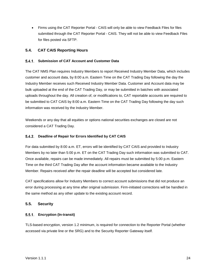• Firms using the CAT Reporter Portal - CAIS will only be able to view Feedback Files for files submitted through the CAT Reporter Portal - CAIS. They will not be able to view Feedback Files for files posted via SFTP.

# <span id="page-29-0"></span>**5.4. CAT CAIS Reporting Hours**

# <span id="page-29-1"></span>**Submission of CAT Account and Customer Data**

The CAT NMS Plan requires Industry Members to report Received Industry Member Data, which includes customer and account data, by 8:00 a.m. Eastern Time on the CAT Trading Day following the day the Industry Member receives such Received Industry Member Data. Customer and Account data may be bulk uploaded at the end of the CAT Trading Day, or may be submitted in batches with associated uploads throughout the day. All creation of, or modifications to, CAT reportable accounts are required to be submitted to CAT CAIS by 8:00 a.m. Eastern Time on the CAT Trading Day following the day such information was received by the Industry Member.

Weekends or any day that all equities or options national securities exchanges are closed are not considered a CAT Trading Day.

#### <span id="page-29-2"></span>**Deadline of Repair for Errors Identified by CAT CAIS**

For data submitted by 8:00 a.m. ET, errors will be identified by CAT CAIS and provided to Industry Members by no later than 5:00 p.m. ET on the CAT Trading Day such information was submitted to CAT. Once available, repairs can be made immediately. All repairs must be submitted by 5:00 p.m. Eastern Time on the third CAT Trading Day after the account information became available to the Industry Member. Repairs received after the repair deadline will be accepted but considered late.

CAT specifications allow for Industry Members to correct account submissions that did not produce an error during processing at any time after original submission. Firm-initiated corrections will be handled in the same method as any other update to the existing account record.

# <span id="page-29-3"></span>**5.5. Security**

#### <span id="page-29-4"></span>**Encryption (In-transit)**

TLS-based encryption, version 1.2 minimum, is required for connection to the Reporter Portal (whether accessed via private line or the SRG) and to the Security Reporter Gateway itself.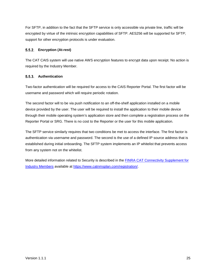For SFTP, in addition to the fact that the SFTP service is only accessible via private line, traffic will be encrypted by virtue of the intrinsic encryption capabilities of SFTP. AES256 will be supported for SFTP; support for other encryption protocols is under evaluation.

# <span id="page-30-0"></span>**Encryption (At-rest)**

The CAT CAIS system will use native AWS encryption features to encrypt data upon receipt. No action is required by the Industry Member.

# <span id="page-30-1"></span>**Authentication**

Two-factor authentication will be required for access to the CAIS Reporter Portal. The first factor will be username and password which will require periodic rotation.

The second factor will to be via push notification to an off-the-shelf application installed on a mobile device provided by the user. The user will be required to install the application to their mobile device through their mobile operating system's application store and then complete a registration process on the Reporter Portal or SRG. There is no cost to the Reporter or the user for this mobile application.

The SFTP service similarly requires that two conditions be met to access the interface. The first factor is authentication via username and password. The second is the use of a defined IP source address that is established during initial onboarding. The SFTP system implements an IP whitelist that prevents access from any system not on the whitelist.

More detailed information related to Security is described in the **FINRA CAT Connectivity Supplement for** [Industry Members](https://www.catnmsplan.com/registration/) available at [https://www.catnmsplan.com/registration/.](https://www.catnmsplan.com/registration/)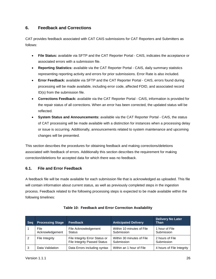# <span id="page-31-0"></span>**6. Feedback and Corrections**

CAT provides feedback associated with CAT CAIS submissions for CAT Reporters and Submitters as follows:

- **File Status:** available via SFTP and the CAT Reporter Portal CAIS, indicates the acceptance or associated errors with a submission file.
- **Reporting Statistics:** available via the CAT Reporter Portal CAIS, daily summary statistics representing reporting activity and errors for prior submissions. Error Rate is also included.
- **Error Feedback:** available via SFTP and the CAT Reporter Portal CAIS, errors found during processing will be made available, including error code, affected FDID, and associated record ID(s) from the submission file.
- **Corrections Feedback:** available via the CAT Reporter Portal CAIS, information is provided for the repair status of all corrections. When an error has been corrected, the updated status will be reflected.
- **System Status and Announcements:** available via the CAT Reporter Portal CAIS, the status of CAT processing will be made available with a distinction for instances when a processing delay or issue is occurring. Additionally, announcements related to system maintenance and upcoming changes will be presented.

This section describes the procedures for obtaining feedback and making corrections/deletions associated with feedback of errors. Additionally this section describes the requirement for making correction/deletions for accepted data for which there was no feedback.

# <span id="page-31-1"></span>**6.1. File and Error Feedback**

A feedback file will be made available for each submission file that is acknowledged as uploaded. This file will contain information about current status, as well as previously completed steps in the ingestion process. Feedback related to the following processing steps is expected to be made available within the following timelines:

| <b>Seq</b> | <b>Processing Stage</b> | Feedback                                                              | <b>Anticipated Delivery</b>             | <b>Delivery No Later</b><br>Than |
|------------|-------------------------|-----------------------------------------------------------------------|-----------------------------------------|----------------------------------|
|            | File<br>Acknowledgement | File Acknowledgement<br><b>Status</b>                                 | Within 10 minutes of File<br>Submission | 1 hour of File<br>Submission     |
| 2          | File Integrity          | File Integrity Error Status or<br><b>File Integrity Passed Status</b> | Within 30 minutes of File<br>Submission | 2 hours of File<br>Submission    |
| 3          | Data Validation         | Data Errors including syntax                                          | Within an 1 hour of File                | 4 hours of File Integrity        |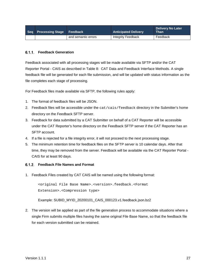| Seq Processing Stage Feedback |                     | <b>Anticipated Delivery</b> | <b>Delivery No Later</b><br><b>Than</b> |
|-------------------------------|---------------------|-----------------------------|-----------------------------------------|
|                               | and semantic errors | Integrity Feedback          | Feedback                                |

#### <span id="page-32-0"></span>**Feedback Generation**

Feedback associated with all processing stages will be made available via SFTP and/or the CAT Reporter Portal - CAIS as described in [Table 8: CAT Data and Feedback Interface](#page-27-1) Methods. A single feedback file will be generated for each file submission, and will be updated with status information as the file completes each stage of processing.

For Feedback files made available via SFTP, the following rules apply:

- 1. The format of feedback files will be JSON.
- 2. Feedback files will be accessible under the cat/cais/feedback directory in the Submitter's home directory on the Feedback SFTP server.
- 3. Feedback for data submitted by a CAT Submitter on behalf of a CAT Reporter will be accessible under the CAT Reporter's home directory on the Feedback SFTP server if the CAT Reporter has an SFTP account.
- 4. If a file is rejected for a file integrity error, it will not proceed to the next processing stage.
- 5. The minimum retention time for feedback files on the SFTP server is 10 calendar days. After that time, they may be removed from the server. Feedback will be available via the CAT Reporter Portal - CAIS for at least 90 days.

#### <span id="page-32-1"></span>**Feedback File Names and Format**

1. Feedback Files created by CAT CAIS will be named using the following format:

<original File Base Name>.<version>.feedback.<Format Extension>.<Compression type>

Example: SUBID\_MYID\_20200101\_CAIS\_000123.v1.feedback.json.bz2

2. The version will be applied as part of the file generation process to accommodate situations where a single Firm submits multiple files having the same original File Base Name, so that the feedback file for each version submitted can be retained.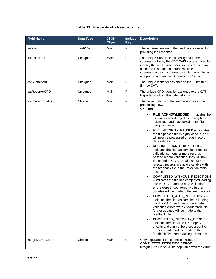# **Table 11: Elements of a Feedback file**

| <b>Field Name</b>  | Data Type | <b>JSON</b><br><b>Object</b> | <b>Include</b><br><b>Key</b> | <b>Description</b>                                                                                                                                                                                                                                                                                                                                                                                                                                                                                                                                                                                                                                                                                                                                                                                                                                                                                                                                                                                                                                                                                                                                                                                                                                                                                                                                                              |
|--------------------|-----------|------------------------------|------------------------------|---------------------------------------------------------------------------------------------------------------------------------------------------------------------------------------------------------------------------------------------------------------------------------------------------------------------------------------------------------------------------------------------------------------------------------------------------------------------------------------------------------------------------------------------------------------------------------------------------------------------------------------------------------------------------------------------------------------------------------------------------------------------------------------------------------------------------------------------------------------------------------------------------------------------------------------------------------------------------------------------------------------------------------------------------------------------------------------------------------------------------------------------------------------------------------------------------------------------------------------------------------------------------------------------------------------------------------------------------------------------------------|
| version            | Text(10)  | Main                         | $\mathsf{R}$                 | The schema version of the feedback file used for<br>providing the response.                                                                                                                                                                                                                                                                                                                                                                                                                                                                                                                                                                                                                                                                                                                                                                                                                                                                                                                                                                                                                                                                                                                                                                                                                                                                                                     |
| submissionID       | Unsigned  | Main                         | $\mathsf{R}$                 | The unique Submission ID assigned to the<br>submission file by the CAT CAIS system. Used to<br>identify the single submission activity. If the same<br>file name is submitted across multiple<br>submissions, each submission instance will have<br>a separate and unique Submission ID value.                                                                                                                                                                                                                                                                                                                                                                                                                                                                                                                                                                                                                                                                                                                                                                                                                                                                                                                                                                                                                                                                                  |
| catSubmitterID     | Unsigned  | Main                         | $\mathsf{R}$                 | The unique identifier assigned to the Submitter<br>firm by CAT.                                                                                                                                                                                                                                                                                                                                                                                                                                                                                                                                                                                                                                                                                                                                                                                                                                                                                                                                                                                                                                                                                                                                                                                                                                                                                                                 |
| catReporterCRD     | Unisgned  | Main                         | $\mathsf{R}$                 | The unique CRD identifier assigned to the CAT<br>Reporter to whom the data belongs.                                                                                                                                                                                                                                                                                                                                                                                                                                                                                                                                                                                                                                                                                                                                                                                                                                                                                                                                                                                                                                                                                                                                                                                                                                                                                             |
| submissionStatus   | Choice    | Main                         | $\mathsf{R}$                 | The current status of the submission file in the<br>processing flow.<br><b>VALUES:</b><br>FILE_ACKNOWLEDGED – indicates the<br>$\bullet$<br>file was acknowledged as having been<br>submitted, and has picked up for file<br>integrity checks.<br>FILE_INTEGRITY_PASSED - indicates<br>$\bullet$<br>the file passed file integrity checks, and<br>will now be processed through record<br>data validations.<br>RECORD_SCAN_COMPLETED -<br>$\bullet$<br>indicates the file has completed record<br>validations. If one or more records<br>passed record validation, they will now<br>be loaded to CAIS. Details about any<br>rejected records are now available within<br>the feedback file in the RejectionItems<br>section.<br>COMPLETED_WITHOUT_REJECTIONS<br>- indicates the file has completed loading<br>into the CAIS, and no data validation<br>errors were encountered. No further<br>updates will be made to the feedback file.<br>COMPLETED_WITH_REJECTIONS -<br>indicates the file has completed loading<br>into the CAIS, and one or more data<br>validation errors were encountered. No<br>further updates will be made to the<br>feedback file.<br>COMPLETED_INTEGRITY_ERROR -<br>$\bullet$<br>indicates the file failed file integrity<br>checks and can not be processed. No<br>further updates will be made to the<br>feedback file upon reaching this status. |
| integrityErrorCode | Choice    | Main                         | $\mathbf C$                  | Only populated if the submissionStatus is<br>COMPLETED_INTEGRITY_ERROR.<br>integrityErrorCode will be populated with the error                                                                                                                                                                                                                                                                                                                                                                                                                                                                                                                                                                                                                                                                                                                                                                                                                                                                                                                                                                                                                                                                                                                                                                                                                                                  |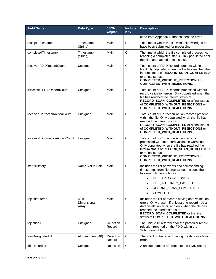| <b>Field Name</b>               | Data Type                      | <b>JSON</b><br>Object | <b>Include</b><br><b>Key</b> | <b>Description</b>                                                                                                                                                                                                                                                                   |
|---------------------------------|--------------------------------|-----------------------|------------------------------|--------------------------------------------------------------------------------------------------------------------------------------------------------------------------------------------------------------------------------------------------------------------------------------|
|                                 |                                |                       |                              | code from Appendix B that caused the error.                                                                                                                                                                                                                                          |
| receiptTimestamp                | Timestamp<br>(String)          | Main                  | R                            | The time at which the file was acknowledged to<br>have been submitted for processing.                                                                                                                                                                                                |
| completedTimestamp              | Timestamp<br>(String)          | Main                  | $\mathbf C$                  | The time at which the file completed processing,<br>reaching a completed status. Only populated after<br>the file has reached a final status.                                                                                                                                        |
| receivedFDIDRecordCount         | Unsigned                       | Main                  | $\mathbf C$                  | Total count of FDID Records present within the<br>file. Only populated when the file has reached the<br>interim status of RECORD_SCAN_COMPLETED<br>or a final status of<br><b>COMPLETED_WITHOUT_REJECTIONS or</b><br>COMPLETED_WITH_REJECTIONS.                                      |
| successfulFDIDRecordCount       | Unsigned                       | Main                  | C                            | Total count of FDID Records processed without<br>record validation errors. Only populated when the<br>file has reached the interim status of<br>RECORD_SCAN_COMPLETED or a final status<br>of COMPLETED_WITHOUT_REJECTIONS or<br>COMPLETED_WITH_REJECTIONS.                          |
| receivedCorrectionActionCount   | Unsigned                       | Main                  | $\mathbf C$                  | Total count of Correction Action records present<br>within the file. Only populated when the file has<br>reached the interim status of<br>RECORD_SCAN_COMPLETED or a final status<br>of COMPLETED_WITHOUT_REJECTIONS or<br><b>COMPLETED_WITH_REJECTIONS.</b>                         |
| successfulCorrectionActionCount | Unsigned                       | Main                  | $\mathbf C$                  | Total count of Correction Action records<br>processed without record validation warnings.<br>Only populated when the file has reached the<br>interim status of RECORD_SCAN_COMPLETED<br>or a final status of<br><b>COMPLETED_WITHOUT_REJECTIONS or</b><br>COMPLETED_WITH_REJECTIONS. |
| statusHistory                   | Name/Value Pair                | Main                  | R                            | Includes the list of events and corresponding<br>timestamps from file processing. Includes the<br>following Name attributes:<br>FILE_ACKNOWLEDGED<br>$\bullet$<br>FILE_INTEGRITY_PASSED<br>RECORD_SCAN_COMPLETED<br><b>COMPLETED</b>                                                 |
| rejectionItems                  | Multi-<br>Dimensional<br>Array | Main                  | $\mathbf C$                  | Includes the list of records having data validation<br>errors. Only present if at least one record had a<br>data validation error, and only when the file has<br>reached the interim status of<br>RECORD_SCAN_COMPLETED or the final<br>status of COMPLETED_WITH_REJECTIONS.         |
| rejectionID                     | Unsigned                       | Rejection<br>Record   | $\mathsf{R}$                 | The unique ID reference for the particular record<br>rejection reported on the FDID within the<br>Submission File.                                                                                                                                                                   |
| firmDesignatedID                | Alphanumeric(40)               | Rejection<br>Record   | $\mathbf C$                  | The FDID of the record having the data validation<br>error.                                                                                                                                                                                                                          |
| fdidRecordID                    | Unsigned                       | Rejection             | $\mathsf C$                  | A unique numeric reference to the FDID record                                                                                                                                                                                                                                        |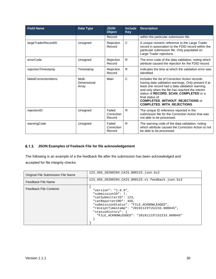| <b>Field Name</b>     | Data Type                      | <b>JSON</b><br><b>Object</b>   | <b>Include</b><br><b>Key</b> | <b>Description</b>                                                                                                                                                                                                                                                                                                                            |
|-----------------------|--------------------------------|--------------------------------|------------------------------|-----------------------------------------------------------------------------------------------------------------------------------------------------------------------------------------------------------------------------------------------------------------------------------------------------------------------------------------------|
|                       |                                | Record                         |                              | within the particular submission file.                                                                                                                                                                                                                                                                                                        |
| largeTraderRecordID   | Unsigned                       | Rejection<br>Record            | C                            | A unique numeric reference to the Large Trader<br>record in association to the FDID record within the<br>particular submission file. Only populated on<br>Large Trader rejections.                                                                                                                                                            |
| errorCode             | Unsigned                       | Rejection<br>Record            | $\mathsf{R}$                 | The error code of the data validation, noting which<br>attribute caused the rejection for the FDID record.                                                                                                                                                                                                                                    |
| rejectionTimestamp    | Timestamp                      | Rejection<br>Record            | $\mathsf{R}$                 | Indicates the time at which the validation error was<br>identified.                                                                                                                                                                                                                                                                           |
| failedCorrectionItems | Multi-<br>Dimensional<br>Array | Main                           | $\mathsf{C}$                 | Includes the list of Correction Action records<br>having data validation warnings. Only present if at<br>least one record had a data validation warning,<br>and only when the file has reached the interim<br>status of RECORD_SCAN_COMPLETED or a<br>final status of<br><b>COMPLETED_WITHOUT_REJECTIONS or</b><br>COMPLETED_WITH_REJECTIONS. |
| rejectionID           | Unsigned                       | Failed<br>Correction<br>Record | R                            | The unique ID reference reported in the<br>submission file for the Correction Action that was<br>not able to be processed.                                                                                                                                                                                                                    |
| warningCode           | Unsigned                       | Failed<br>Correction<br>Record | $\mathsf{R}$                 | The warning code of the data validation, noting<br>which attribute caused the Correction Action to not<br>be able to be processed.                                                                                                                                                                                                            |

# <span id="page-35-0"></span>**JSON Examples of Feeback File for file acknowledgement**

The following is an example of a the feedback file after the submission has been acknowledged and accepted for file integrity checks:

| Original File Submission File Name | 123 456 20200204 CAIS 000123.json.bz2                                                                                                                                                                                                                               |
|------------------------------------|---------------------------------------------------------------------------------------------------------------------------------------------------------------------------------------------------------------------------------------------------------------------|
| Feedback File Name                 | 123 456 20200204 CAIS 000123.v1.feedback.json.bz2                                                                                                                                                                                                                   |
| <b>Feedback File Contents</b>      | "version": " $1.0.0$ ",<br>"submissionID": 7,<br>"catSubmitterID": 123,<br>"catReporterCRD": 456,<br>"submissionStatus": "FILE ACKNOWLEDGED",<br>"receiptTimestamp": "20191123T152233.000045",<br>"statusHistory":<br>"FILE ACKNOWLEDGED": "20191123T152233.000045" |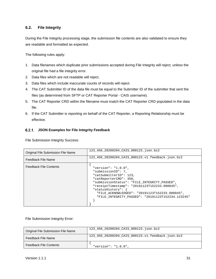# <span id="page-36-0"></span>**6.2. File Integrity**

During the File Integrity processing stage, the submission file contents are also validated to ensure they are readable and formatted as expected.

The following rules apply:

- 1. Data filenames which duplicate prior submissions accepted during File Integrity will reject, unless the original file had a file integrity error.
- 2. Data files which are not readable will reject.
- 3. Data files which include inaccurate counts of records will reject.
- 4. The CAT Submitter ID of the data file must be equal to the Submitter ID of the submitter that sent the files (as determined from SFTP or CAT Reporter Portal - CAIS username).
- 5. The CAT Reporter CRD within the filename must match the CAT Reporter CRD populated in the data file.
- 6. If the CAT Submitter is reporting on behalf of the CAT Reporter, a Reporting Relationship must be effective.

# <span id="page-36-1"></span>**JSON Examples for File Integrity Feedback**

File Submission Integrity Success:

| Original File Submission File Name | 123 456 20200204 CAIS 000123.json.bz2                                                                                                                                                                                                                                                                                         |
|------------------------------------|-------------------------------------------------------------------------------------------------------------------------------------------------------------------------------------------------------------------------------------------------------------------------------------------------------------------------------|
| Feedback File Name                 | 123_456_20200204_CAIS_000123.v1.feedback.json.bz2                                                                                                                                                                                                                                                                             |
| <b>Feedback File Contents</b>      | "version": " $1.0.0$ ",<br>"submissionID": 7,<br>"catSubmitterID": 123,<br>"catReporterCRD": 456,<br>"submissionStatus": "FILE_INTEGRITY_PASSED",<br>"receiptTimestamp": "20191123T152233.000045",<br>"statusHistory":<br>"FILE ACKNOWLEDGED": "20191123T152233.000045",<br>"FILE_INTEGRITY_PASSED": "20191123T152234.123245" |

#### File Submission Integrity Error:

| Original File Submission File Name | 123 456 20200204 CAIS 000123.json.bz2             |
|------------------------------------|---------------------------------------------------|
| Feedback File Name                 | 123 456 20200204 CAIS 000123.v1.feedback.json.bz2 |
| <b>Feedback File Contents</b>      | "version": " $1.0.0$ ",                           |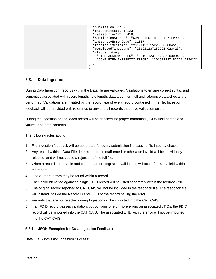| "submissionID": 7,                                    |
|-------------------------------------------------------|
| "catSubmitterID": 123,                                |
| "catReporterCRD": 456,                                |
| "submissionStatus": "COMPLETED_INTEGRITY_ERROR",      |
| "integrityErrorCode": 21007,                          |
| "receiptTimestamp": "20191123T152233.000045",         |
| "completedTimestamp": "20191123T152721.023423",       |
| "statusHistory":                                      |
| "FILE_ACKNOWLEDGED": "20191123T152233.000045",        |
| "COMPLETED INTEGRITY ERROR": "20191123T152721.023423" |
|                                                       |
|                                                       |

# <span id="page-37-0"></span>**6.3. Data Ingestion**

During Data Ingestion, records within the Data file are validated. Validations to ensure correct syntax and semantics associated with record length, field length, data type, non-null and reference data checks are performed. Validations are initiated by the record type of every record contained in the file. Ingestion feedback will be provided with reference to any and all records that have validation errors.

During the ingestion phase, each record will be checked for proper formatting (JSON field names and values) and data contents.

The following rules apply:

- 1. File Ingestion feedback will be generated for every submission file passing file integrity checks.
- 2. Any record within a Data File determined to be malformed or otherwise invalid will be individually rejected, and will not cause a rejection of the full file.
- 3. When a record is readable and can be parsed, Ingestion validations will occur for every field within the record.
- 4. One or more errors may be found within a record.
- 5. Each error identified against a single FDID record will be listed separately within the feedback file.
- 6. The original record reported to CAT CAIS will not be included in the feedback file. The feedback file will instead include the RecordID and FDID of the record having the error.
- 7. Records that are not rejected during Ingestion will be imported into the CAT CAIS.
- 8. If an FDID record passes validation, but contains one or more errors on associated LTIDs, the FDID record will be imported into the CAT CAIS. The associated LTID with the error will not be imported into the CAT CAIS.

#### <span id="page-37-1"></span>**JSON Examples for Data Ingestion Feedback**

Data File Submission Ingestion Success: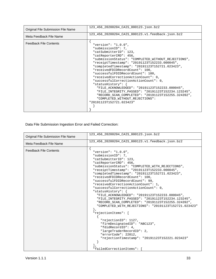| Original File Submission File Name | 123 456 20200204 CAIS 000123.json.bz2                                                                                                                                                                                                                                                                                                                                                                                                                                                                                                                                                                                                                                   |
|------------------------------------|-------------------------------------------------------------------------------------------------------------------------------------------------------------------------------------------------------------------------------------------------------------------------------------------------------------------------------------------------------------------------------------------------------------------------------------------------------------------------------------------------------------------------------------------------------------------------------------------------------------------------------------------------------------------------|
| Meta Feedback File Name            | 123 456 20200204 CAIS 000123.v1.feedback.json.bz2                                                                                                                                                                                                                                                                                                                                                                                                                                                                                                                                                                                                                       |
| <b>Feedback File Contents</b>      | "version": " $1.0.0$ ",<br>"submissionID": 7,<br>"catSubmitterID": 123,<br>"catReporterCRD": 456,<br>"submissionStatus": "COMPLETED_WITHOUT_REJECTIONS",<br>"receiptTimestamp": "20191123T152233.000045",<br>"completedTimestamp": "20191123T152721.023423",<br>"receivedFDIDRecordCount": 100,<br>"successfulFDIDRecordCount": 100,<br>"receivedCorrectionActionCount": 0,<br>"successfulCorrectionActionCount": 0,<br>"statusHistory": {<br>"FILE ACKNOWLEDGED": "20191123T152233.000045",<br>"FILE INTEGRITY PASSED": "20191123T152234.123245",<br>"RECORD_SCAN_COMPLETED": "20191123T152255.324392",<br>"COMPLETED_WITHOUT_REJECTIONS":<br>"20191123T152721.023423" |

Data File Submission Ingestion Error and Failed Correction:

|                                    | 123 456 20200204 CAIS 000123.json.bz2                                                                                                                                                                                                                                                                                                                                                                                                                                                                                                                                                                                                                                                                                                                                                                                                                                                                      |
|------------------------------------|------------------------------------------------------------------------------------------------------------------------------------------------------------------------------------------------------------------------------------------------------------------------------------------------------------------------------------------------------------------------------------------------------------------------------------------------------------------------------------------------------------------------------------------------------------------------------------------------------------------------------------------------------------------------------------------------------------------------------------------------------------------------------------------------------------------------------------------------------------------------------------------------------------|
| Original File Submission File Name |                                                                                                                                                                                                                                                                                                                                                                                                                                                                                                                                                                                                                                                                                                                                                                                                                                                                                                            |
| Meta Feedback File Name            | 123 456 20200204 CAIS 000123.v1.feedback.json.bz2                                                                                                                                                                                                                                                                                                                                                                                                                                                                                                                                                                                                                                                                                                                                                                                                                                                          |
| <b>Feedback File Contents</b>      | "version": " $1.0.0$ ",<br>"submissionID": 7,<br>"catSubmitterID": 123,<br>"catReporterCRD": 456,<br>"submissionStatus": "COMPLETED_WITH_REJECTIONS",<br>"receiptTimestamp": "20191123T152233.000045",<br>"completedTimestamp": "20191123T152721.023423",<br>"receivedFDIDRecordCount": 100,<br>"successfulFDIDRecordCount": 99,<br>"receivedCorrectionActionCount": 1,<br>"successfulCorrectionActionCount": 0,<br>"statusHistory": $\{$<br>"FILE_ACKNOWLEDGED": "20191123T152233.000045",<br>"FILE_INTEGRITY_PASSED": "20191123T152234.123245",<br>"RECORD SCAN COMPLETED": "20191123T152255.324392",<br>"COMPLETED WITH REJECTIONS": "20191123T152721.023423"<br>"rejectionItems": [<br>"rejectionID": 1127,<br>"firmDesignatedID": "ABC123",<br>"fdidRecordID": 4,<br>"largeTraderRecordID": 2,<br>"errorCode": 22012,<br>"rejectionTimestamp": "20191123T152221.023423"<br>"failedCorrectionItems": [ |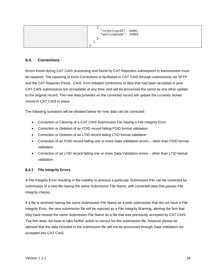| "rejectionID": 5000,<br>"warningCode": 24002 |
|----------------------------------------------|
|                                              |

# <span id="page-39-0"></span>**6.4. Corrections**

Errors found during CAT CAIS processing and found by CAT Reporters subsequent to transmission must be repaired. The reporting of Error Corrections is facilitated in CAT CAIS through submissions via SFTP and the CAT Reporter Portal - CAIS. Firm-initiated corrections of data that had been accepted in prior CAT CAIS submissions are acceptable at any time, and will be processed the same as any other update to the original record. The new data provided on the corrected record will update the currently stored record in CAT CAIS in place.

The following scenarios will be detailed below for how data can be corrected:

- Correction or Clearing of a CAT CAIS Submission File having a File Integrity Error
- Correction or Deletion of an FDID record failing FDID format validation
- Correction or Deletion of an LTID record failing LTID format validation
- Correction of an FDID record failing one or more Data Validation errors other than FDID format validation
- Correction of an LTID record failing one or more Data Validation errors other than LTID format validation

#### <span id="page-39-1"></span>**File Integrity Errors**

A File Integrity Error resulting in the inability to process a particular Submission File can be corrected by submission of a new file having the same Submission File Name, with corrected data that passes File Integrity checks.

If a file is received having the same Submission File Name as a prior submission that did not have a File Integrity Error, the new submission file will be rejected as a File Integrity Warning, alerting the firm that they have reused the same Submission File Name as a file that was previously accepted by CAT CAIS. The firm does not have to take further action to correct for this submission file, however please be advised that the data included in the submission file will not be processed through Data Validation nor accepted into CAT CAIS.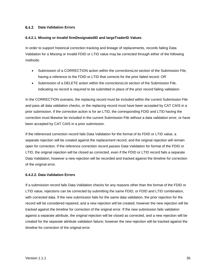#### <span id="page-40-0"></span>**Data Validation Errors**

#### **6.4.2.1. Missing or Invalid firmDesignatedID and largeTraderID Values**

In order to support historical correction tracking and lineage of replacements, records failing Data Validation for a Missing or Invalid FDID or LTID value may be corrected through either of the following methods:

- Submission of a CORRECTION action within the *correctionsList* section of the Submission File, having a reference to the FDID or LTID that corrects for the prior failed record; OR
- Submission of a DELETE action within the *correctionsList* section of the Submission File, indicating no record is required to be submitted in place of the prior record failing validation

In the CORRECTION scenario, the replacing record must be included within the current Submission File and pass all data validation checks, or the replacing record must have been accepted by CAT CAIS in a prior submission. If the correction action is for an LTID, the corresponding FDID and LTID having the correction must likewise be included in the current Submission File without a data validation error, or have been accepted by CAT CAIS in a prior submission.

If the referenced correction record fails Data Validation for the format of its FDID or LTID value, a separate rejection will be created against the replacement record, and the original rejection will remain open for correction. If the reference correction record passes Data Validation for format of the FDID or LTID, the original rejection will be closed as corrected, even if the FDID or LTID record fails a separate Data Validation; however a new rejection will be recorded and tracked against the timeline for correction of the original error.

#### **6.4.2.2. Data Validation Errors**

If a submission record fails Data Validation checks for any reasons other than the format of the FDID or LTID value, rejections can be corrected by submitting the same FDID, or FDID and LTID combination, with corrected data. If the new submission fails for the same data validation, the prior rejection for the record will be considered repaired, and a new rejection will be created; however the new rejection will be tracked against the timeline for correction of the original error. If the new submission fails validation against a separate attribute, the original rejection will be closed as corrected, and a new rejection will be created for the separate attribute validation failure; however the new rejection will be tracked against the timeline for correction of the original error.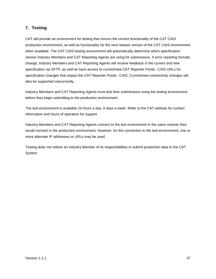# <span id="page-42-0"></span>**7. Testing**

CAT will provide an environment for testing that mirrors the current functionality of the CAT CAIS production environment, as well as functionality for the next release version of the CAT CAIS environment when available. The CAT CAIS testing environment will automatically determine which specification version Industry Members and CAT Reporting Agents are using for submissions. If error reporting formats change, Industry Members and CAT Reporting Agents will receive feedback in the current and new specification via SFTP, as well as have access to current/new CAT Reporter Portal - CAIS URLs for specification changes that impact the CAT Reporter Portal - CAIS. Current/new connectivity changes will also be supported concurrently.

Industry Members and CAT Reporting Agents must test their submissions using the testing environment before they begin submitting to the production environment.

The test environment is available 24 hours a day, 6 days a week. Refer to the CAT website for contact information and hours of operation for support.

Industry Members and CAT Reporting Agents connect to the test environment in the same manner they would connect to the production environment. However, for the connection to the test environment, one or more alternate IP addresses or URLs may be used.

Testing does not relieve an Industry Member of its responsibilities to submit production data to the CAT System.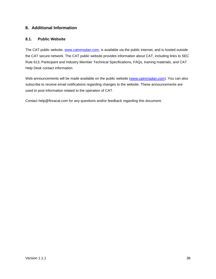# <span id="page-43-0"></span>**8. Additional Information**

# <span id="page-43-1"></span>**8.1. Public Website**

The CAT public website, [www.catnmsplan.com,](https://www.catnmsplan.com/) is available via the public internet, and is hosted outside the CAT secure network. The CAT public website provides information about CAT, including links to SEC Rule 613, Participant and Industry Member Technical Specifications, FAQs, training materials, and CAT Help Desk contact information.

Web announcements will be made available on the public website [\(www.catnmsplan.com\)](https://www.catnmsplan.com/). You can also subscribe to receive email notifications regarding changes to the website. These announcements are used to post information related to the operation of CAT.

Contact help@finracat.com for any questions and/or feedback regarding this document.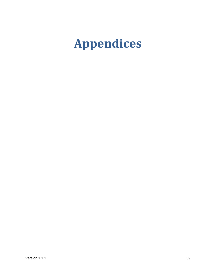# <span id="page-44-0"></span>**Appendices**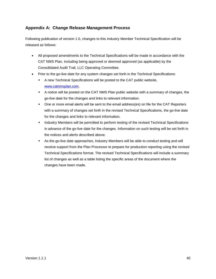# <span id="page-45-0"></span>**Appendix A: Change Release Management Process**

Following publication of version 1.0, changes to this Industry Member Technical Specification will be released as follows:

- All proposed amendments to the Technical Specifications will be made in accordance with the CAT NMS Plan, including being approved or deemed approved (as applicable) by the Consolidated Audit Trail, LLC Operating Committee.
- Prior to the go-live date for any system changes set forth in the Technical Specifications:
	- A new Technical Specifications will be posted to the CAT public website, [www.catnmsplan.com.](https://www.catnmsplan.com/)
	- A notice will be posted on the CAT NMS Plan public website with a summary of changes, the go-live date for the changes and links to relevant information.
	- One or more email alerts will be sent to the email address(es) on file for the CAT Reporters with a summary of changes set forth in the revised Technical Specifications, the go-live date for the changes and links to relevant information.
	- Industry Members will be permitted to perform testing of the revised Technical Specifications in advance of the go-live date for the changes. Information on such testing will be set forth in the notices and alerts described above.
	- As the go-live date approaches, Industry Members will be able to conduct testing and will receive support from the Plan Processor to prepare for production reporting using the revised Technical Specifications format. The revised Technical Specifications will include a summary list of changes as well as a table listing the specific areas of the document where the changes have been made.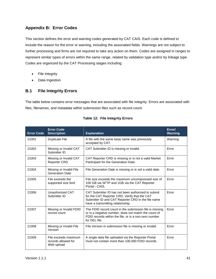# <span id="page-46-0"></span>**Appendix B: Error Codes**

This section defines the error and warning codes generated by CAT CAIS. Each code is defined to include the reason for the error or warning, including the associated fields. Warnings are not subject to further processing and firms are not required to take any action on them. Codes are assigned in ranges to represent similar types of errors within the same range, related by validation type and/or by linkage type. Codes are organized by the CAT Processing stages including:

- File Integrity
- Data Ingestion

# <span id="page-46-1"></span>**B.1 File Integrity Errors**

The table below contains error messages that are associated with file integrity. Errors are associated with files, filenames, and metadata within submission files such as record count.

| <b>Error Code</b> | <b>Error Code</b><br><b>Description</b>                   | <b>Explanation</b>                                                                                                                                                                             | Error/<br><b>Warning</b> |
|-------------------|-----------------------------------------------------------|------------------------------------------------------------------------------------------------------------------------------------------------------------------------------------------------|--------------------------|
| 21001             | <b>Duplicate File</b>                                     | A file with the same base name was previously<br>accepted by CAT.                                                                                                                              | Warning                  |
| 21002             | Missing or Invalid CAT<br>Submitter ID                    | CAT Submitter ID is missing or invalid.                                                                                                                                                        | Error                    |
| 21003             | Missing or Invalid CAT<br><b>Reporter CRD</b>             | CAT Reporter CRD is missing or is not a valid Market<br>Participant for the Generation Date.                                                                                                   | Error                    |
| 21004             | Missing or Invalid File<br><b>Generation Date</b>         | File Generation Date is missing or is not a valid date.                                                                                                                                        | Error                    |
| 21005             | File exceeds the<br>supported size limit                  | File size exceeds the maximum uncompressed size of<br>100 GB via SFTP and 1GB via the CAT Reporter<br>Portal - CAIS.                                                                           | Error                    |
| 21006             | Unauthorized CAT<br>Submitter ID                          | CAT Submitter ID has not been authorized to submit<br>for the CAT Reporter CRD. Verify that the CAT<br>Submitter ID and CAT Reporter CRD in the file name<br>have a transmitting relationship. | Error                    |
| 21007             | Missing or Invalid FDID<br>record count                   | The FDID record count in the submission file is missing<br>or is a negative number, does not match the count of<br>FDID records within the file, or is a non-zero number<br>for DEL file.      | Error                    |
| 21008             | Missing or Invalid File<br>Version                        | File Version in submission file is missing or invalid.                                                                                                                                         | Error                    |
| 21009             | File exceeds maximum<br>records allowed for<br>Web upload | A single data file uploaded via the Reporter Portal<br>must not contain more than 100,000 FDID records.                                                                                        | Error                    |

# **Table 12: File Integrity Errors**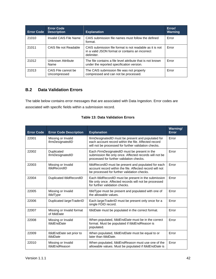| <b>Error Code</b> | <b>Error Code</b><br><b>Description</b> | <b>Explanation</b>                                                                                                        | Error/<br><b>Warning</b> |
|-------------------|-----------------------------------------|---------------------------------------------------------------------------------------------------------------------------|--------------------------|
| 21010             | Invalid CAIS File Name                  | CAIS submission file names must follow the defined<br>format.                                                             | Error                    |
| 21011             | CAIS file not Readable                  | CAIS submission file format is not readable as it is not<br>in a valid JSON format or contains an incorrect<br>delimiter. | Error                    |
| 21012             | Unknown Attribute<br>Name               | The file contains a file level attribute that is not known<br>under the reported specification version.                   | Error                    |
| 21013             | CAIS File cannot be<br>Uncompressed     | The CAIS submission file was not properly<br>compressed and can not be processed.                                         | Error                    |

# <span id="page-47-0"></span>**B.2 Data Validation Errors**

The table below contains error messages that are associated with Data Ingestion. Error codes are associated with specific fields within a submission record.

| <b>Error Code</b> | <b>Error Code Description</b>            | <b>Explanation</b>                                                                                                                                                 | Warning/<br>Error |
|-------------------|------------------------------------------|--------------------------------------------------------------------------------------------------------------------------------------------------------------------|-------------------|
| 22001             | Missing or Invalid<br>firmDesignatedID   | firmDesignatedID must be present and populated for<br>each account record within the file. Affected record<br>will not be processed for further validation checks. | Error             |
| 22002             | Duplicated<br>firmDesignatedID           | Each FirmDesignatedID must be present in the<br>submission file only once. Affected records will not be<br>processed for further validation checks.                | Error             |
| 22003             | Missing or Invalid<br>fdidRecordID       | fdidRecordID must be present and populated for each<br>account record within the file. Affected record will not<br>be processed for further validation checks.     | Error             |
| 22004             | Duplicated fdidRecordID                  | Each fdidRecordID must be present in the submission<br>file only once. Affected records will not be processed<br>for further validation checks.                    | Error             |
| 22005             | Missing or Invalid<br>fdidType           | fdidType must be present and populated with one of<br>the allowable values.                                                                                        | Error             |
| 22006             | Duplicated large TraderID                | Each large TraderID must be present only once for a<br>single FDID record.                                                                                         | Error             |
| 22007             | Missing or Invalid format<br>of fdidDate | fdidDate must be populated in the correct format.                                                                                                                  | Error             |
| 22008             | Missing or Invalid<br>fdidEndDate        | When populated, <i>fdidEndDate</i> must be in the correct<br>format. Must be populated if fdidEndReason is<br>populated.                                           | Error             |
| 22009             | fdidEndDate set prior to<br>fdidDate     | When populated, fdidEndDate must be equal to or<br>later than fdidDate.                                                                                            | Error             |
| 22010             | Missing or Invalid<br>fdidEndReason      | When populated, fdidEndReason must use one of the<br>allowable values. Must be populated if fdidEndDate is                                                         | Error             |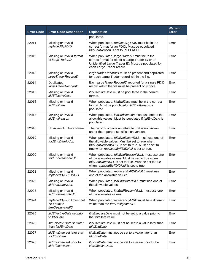| <b>Error Code</b> | <b>Error Code Description</b>                               | <b>Explanation</b>                                                                                                                                                                                    | Warning/<br><b>Error</b> |
|-------------------|-------------------------------------------------------------|-------------------------------------------------------------------------------------------------------------------------------------------------------------------------------------------------------|--------------------------|
|                   |                                                             | populated.                                                                                                                                                                                            |                          |
| 22011             | Missing or Invalid<br>replacedByFDID                        | When populated, replacedByFDID must be in the<br>correct format for an FDID. Must be populated if<br>fdidEndReason is set to REPLACED.                                                                | Error                    |
| 22012             | Missing or Invalid format<br>of largeTraderID               | When populated, largeTraderID must be in the<br>correct format for either a Large Trader ID or an<br>Unidentified Large Trader ID. Must be populated for<br>each Large Trader record.                 | Error                    |
| 22013             | Missing or Invalid<br>largeTraderRecordID                   | large Trader RecordID must be present and populated<br>for each Large Trader record within the file.                                                                                                  | Error                    |
| 22014             | Duplicated<br>largeTraderRecordID                           | Each largeTraderRecordID reported for a single FDID<br>record within the file must be present only once.                                                                                              | Error                    |
| 22015             | Missing or Invalid<br><b>ItidEffectiveDate</b>              | ItidEffectiveDate must be populated in the correct<br>format.                                                                                                                                         | Error                    |
| 22016             | Missing or Invalid<br><b>ItidEndDate</b>                    | When populated, ItidEndDate must be in the correct<br>format. Must be populated if ItidEndReason is<br>populated.                                                                                     | Error                    |
| 22017             | Missing or Invalid<br><b>ItidEndReason</b>                  | When populated, ItidEndReason must use one of the<br>allowable values. Must be populated if ItidEndDate is<br>populated.                                                                              | Error                    |
| 22018             | Unknown Attribute Name                                      | The record contains an attribute that is not known<br>under the reported specification version.                                                                                                       | Error                    |
| 22019             | Missing or Invalid<br>fdidEndDateNULL                       | When populated, fdidEndDateNULL must use one of<br>the allowable values. Must be set to true when<br>fdidEndReasonNULL is set to true. Must be set to<br>true when replacedByFDIDNull is set to true. | Error                    |
| 22020             | Missing or Invalid<br>fdidEndReasonNULL                     | When populated, fdidEndReasonNULL must use one<br>of the allowable values. Must be set to true when<br>fdidEndDateNULL is set to true. Must be set to true<br>when replacedByFDIDNull is set to true. | Error                    |
| 22021             | Missing or Invalid<br>replacedByFDIDNULL                    | When populated, replacedByFDIDNULL must use<br>one of the allowable values.                                                                                                                           | Error                    |
| 22022             | Missing or Invalid<br><i>ItidEndDateNULL</i>                | When populated, ItidEndDateNULL must use one of<br>the allowable values.                                                                                                                              | Error                    |
| 22023             | Missing or Invalid<br><b>ItidEndReasonNULL</b>              | When populated, <i>ItidEndReasonNULL</i> must use one<br>of the allowable values.                                                                                                                     | Error                    |
| 22024             | replacedByFDID must not<br>be equal to<br>firmDesignatedID  | When populated, replacedByFDID must be a different<br>value than the firmDesignatedID.                                                                                                                | Error                    |
| 22025             | ItidEffectiveDate set prior<br>to fdidDate                  | <i>ItidEffectiveDate</i> must not be set to a value prior to<br>the fdidDate value.                                                                                                                   | Error                    |
| 22026             | <i>ItidEffectiveDate</i> set later<br>than fdidEndDate      | <i>ItidEffectiveDate</i> must not be set to a value later than<br>fdidEndDate.                                                                                                                        | Error                    |
| 22027             | <i>ItidEndDate</i> set later than<br>fdidEndDate            | <i>ItidEndDate</i> must not be set to a value later than<br>fdidEndDate.                                                                                                                              | Error                    |
| 22028             | <i>ItidEndDate</i> set prior to<br><b>ItidEffectiveDate</b> | <i>ItidEndDate</i> must not be set to a value prior to the<br>ItidEffectiveDate.                                                                                                                      | Error                    |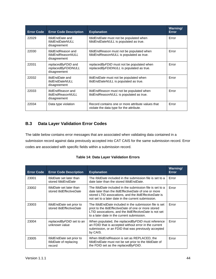| <b>Error Code</b> | <b>Error Code Description</b>                                        | <b>Explanation</b>                                                                            | Warning/<br>Error |
|-------------------|----------------------------------------------------------------------|-----------------------------------------------------------------------------------------------|-------------------|
| 22029             | <i>fdidFndDate</i> and<br>fdidEndDateNULL<br>disagreement            | fdidEndDate must not be populated when<br>fdidEndDateNULL is populated as true.               | Error             |
| 22030             | fdidEndReason and<br>fdidEndReasonNULL<br>disagreement               | fdidEndReason must not be populated when<br>fdidEndReasonNULL is populated as true.           | Error             |
| 22031             | replacedByFDID and<br>replacedByFDIDNULL<br>disagreement             | replacedByFDID must not be populated when<br>replacedByFDIDNULL is populated as true.         | Error             |
| 22032             | <i>ItidEndDate</i> and<br><b>ItidEndDateNULL</b><br>disagreement     | <i>ItidEndDate</i> must not be populated when<br>ItidEndDateNULL is populated as true.        | Error             |
| 22033             | <i>ItidEndReason</i> and<br><b>ItidEndReasonNULL</b><br>disagreement | <i>ItidEndReason</i> must not be populated when<br>ItidEndReasonNULL is populated as true.    | Error             |
| 22034             | Data type violation                                                  | Record contains one or more attribute values that<br>violate the data type for the attribute. | Error             |

# <span id="page-49-0"></span>**B.3 Data Layer Validation Error Codes**

The table below contains error messages that are associated when validating data contained in a submission record against data previously accepted into CAT CAIS for the same submission record. Error codes are associated with specific fields within a submission record.

| <b>Table 14: Data Layer Validation Errors</b> |  |
|-----------------------------------------------|--|
|-----------------------------------------------|--|

| <b>Error Code</b> | <b>Error Code Description</b>                                     | <b>Explanation</b>                                                                                                                                                                                                                            | <b>Warning/</b><br><b>Error</b> |
|-------------------|-------------------------------------------------------------------|-----------------------------------------------------------------------------------------------------------------------------------------------------------------------------------------------------------------------------------------------|---------------------------------|
| 23001             | fdidDate set later than<br>stored fdidEndDate                     | The <i>fdidDate</i> included in the submission file is set to a<br>date later than the stored fdidEndDate.                                                                                                                                    | Error                           |
| 23002             | <i>fdidDate</i> set later than<br>stored <i>ItidEffectiveDate</i> | The <i>fdidDate</i> included in the submission file is set to a<br>date later than the <i>ItidEffectiveDate</i> of one or more<br>stored LTID assocations, and the ItidEffectiveDate is<br>not set to a later date in the current submission. | Error                           |
| 23003             | fdidEndDate set prior to<br>stored <i>ItidEffectiveDate</i>       | The <i>fdidEndDate</i> included in the submission file is set<br>priot to the <i>ItidEffectiveDate</i> of one or more stored<br>LTID assocations, and the <i>ItidEffectiveDate</i> is not set<br>to a later date in the current submission.   | Error                           |
| 23004             | replacedByFDID set to an<br>unknown value                         | When populated, the replacedByFDID must reference<br>an FDID that is accepted without error in the current<br>submission, or an FDID that was previously accepted<br>by CAIS.                                                                 | Error                           |
| 23005             | fdidEndDate set prior to<br>fdidDate of replacing<br>record       | When fdidEndReason is set as REPLACED, the<br>fdidEndDate must not be set prior to the fdidDate of<br>the FDID set as the replacedByFDID.                                                                                                     | Error                           |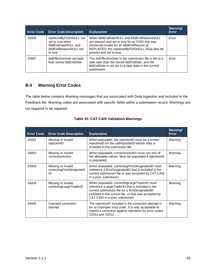| <b>Error Code</b> | <b>Error Code Description</b>                                                                         | <b>Explanation</b>                                                                                                                                                                                                      | <b>Warning/</b><br>Error |
|-------------------|-------------------------------------------------------------------------------------------------------|-------------------------------------------------------------------------------------------------------------------------------------------------------------------------------------------------------------------------|--------------------------|
| 23006             | replacedByFDIDNULL not<br>set to true when<br>fdidEndDateNULL and<br>fdidEndReasonNULL set<br>to true | When fdidEndDateNULL and fdidEndReasonNULL<br>are present and set to true for an FDID that was<br>previously ended for an fdidEndReason of<br>REPLACED, the replacedByFDIDNULL must also be<br>present and set to true. | Error                    |
| 23007             | <i>ItidEffectiveDate</i> set later<br>than stored <i>ItidEndDate</i>                                  | The <i>ItidEffectiveDate</i> in the submission file is set to a<br>date later than the stored <i>ItidEndDate</i> , and the<br><i>ItidEndDate</i> is not set to a later date in the current<br>submission.               | Error                    |

# <span id="page-50-0"></span>**B.4 Warning Error Codes**

The table below contains Warning messages that are associated with Data Ingestion and included in the Feedback file. Warning codes are associated with specific fields within a submission record. Warnings are not required to be repaired.

| <b>Error Code</b> | <b>Error Code Description</b>                        | <b>Explanation</b>                                                                                                                                                                                                                                     | <b>Warning/</b><br><b>Error</b> |
|-------------------|------------------------------------------------------|--------------------------------------------------------------------------------------------------------------------------------------------------------------------------------------------------------------------------------------------------------|---------------------------------|
| 24001             | Missing or Invalid<br>rejectionID                    | When populated, the rejectionID must be a known<br>rejectionID for the catReporterID whose data is<br>included in the submission file.                                                                                                                 | Warning                         |
| 24002             | Missing or Invalid<br>correctionAction               | When populated, <i>correctionAction</i> must use one of<br>the allowable values. Must be populated if rejectionID<br>is populated.                                                                                                                     | Warning                         |
| 24003             | Missing or Invalid<br>correctingFirmDesignated<br>ID | When populated, correcting Firm Designated ID must<br>reference a firmDesignatedID that is included in the<br>current submission file or was accepted by CAT CAIS<br>in a prior submission.                                                            | Warning                         |
| 24004             | Missing or Invalid<br>correctingLargeTraderID        | When populated, <i>correctingLargeTraderID</i> must<br>reference a largeTraderID that is included in the<br>current submission file for a firmDesignatedID<br>included in the current file, or that was accepted by<br>CAT CAIS in a prior submission. | Warning                         |
| 24005             | Improper correction<br>attempt                       | The rejectionID included in the correction attempt is<br>for an improper error code. It is only acceptable to<br>submit a correction against rejections for error codes<br>22001 and 22012.                                                            | Warning                         |

|  |  |  |  | <b>Table 15: CAT CAIS Validation Warnings</b> |  |
|--|--|--|--|-----------------------------------------------|--|
|--|--|--|--|-----------------------------------------------|--|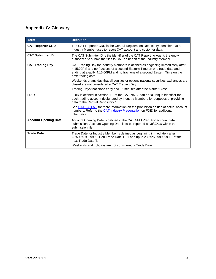# <span id="page-51-0"></span>**Appendix C: Glossary**

| <b>Term</b>                 | <b>Definition</b>                                                                                                                                                                                                                                                 |
|-----------------------------|-------------------------------------------------------------------------------------------------------------------------------------------------------------------------------------------------------------------------------------------------------------------|
| <b>CAT Reporter CRD</b>     | The CAT Reporter CRD is the Central Registration Depository identifier that an<br>Industry Member uses to report CAT account and customer data.                                                                                                                   |
| <b>CAT Submitter ID</b>     | The CAT Submitter ID is the identifier of the CAT Reporting Agent, the entity<br>authorized to submit the files to CAT on behalf of the Industry Member.                                                                                                          |
| <b>CAT Trading Day</b>      | CAT Trading Day for Industry Members is defined as beginning immediately after<br>4:15:00PM and no fractions of a second Eastern Time on one trade date and<br>ending at exactly 4:15:00PM and no fractions of a second Eastern Time on the<br>next trading date. |
|                             | Weekends or any day that all equities or options national securities exchanges are<br>closed are not considered a CAT Trading Day.                                                                                                                                |
|                             | Trading Days that close early end 15 minutes after the Market Close.                                                                                                                                                                                              |
| <b>FDID</b>                 | FDID is defined in Section 1.1 of the CAT NMS Plan as "a unique identifier for<br>each trading account designated by Industry Members for purposes of providing<br>data to the Central Repository."                                                               |
|                             | See CAT FAQ M2 for more information on the prohibition on use of actual account<br>numbers. Refer to the CAT Industry Presentation on FDID for additional<br>information.                                                                                         |
| <b>Account Opening Date</b> | Account Opening Date is defined in the CAT NMS Plan. For account data<br>submission, Account Opening Date is to be reported as <i>fdidDate</i> within the<br>submission file.                                                                                     |
| <b>Trade Date</b>           | Trade Date for Industry Member is defined as beginning immediately after<br>23:59:59.999999 ET on Trade Date T - 1 and up to 23:59:59.999999 ET of the<br>next Trade Date T.                                                                                      |
|                             | Weekends and holidays are not considered a Trade Date.                                                                                                                                                                                                            |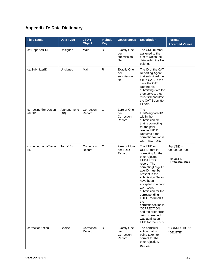# <span id="page-52-0"></span>**Appendix D: Data Dictionary**

| <b>Field Name</b>              | <b>Data Type</b>     | <b>JSON</b><br><b>Object</b> | Include<br><b>Key</b> | <b>Occurrences</b>                                | <b>Description</b>                                                                                                                                                                                                                                                                                                                                                                                                                        | Format/<br><b>Accepted Values</b>                         |
|--------------------------------|----------------------|------------------------------|-----------------------|---------------------------------------------------|-------------------------------------------------------------------------------------------------------------------------------------------------------------------------------------------------------------------------------------------------------------------------------------------------------------------------------------------------------------------------------------------------------------------------------------------|-----------------------------------------------------------|
| catReporterCRD                 | Unsigned             | Main                         | R                     | <b>Exactly One</b><br>per<br>submission<br>file   | The CRD number<br>assigned to the<br>firm to which the<br>data within the file<br>belongs.                                                                                                                                                                                                                                                                                                                                                |                                                           |
| catSubmitterID                 | Unsigned             | Main                         | $\mathsf{R}$          | <b>Exactly One</b><br>per<br>submission<br>file   | The ID of the CAT<br><b>Reporting Agent</b><br>that submitted the<br>file to CAT. In the<br>case the CAT<br>Reporter is<br>submitting data for<br>themselves, they<br>must still populate<br>the CAT Submitter<br>ID field.                                                                                                                                                                                                               |                                                           |
| correctingFirmDesign<br>atedID | Alphanumeric<br>(40) | Correction<br>Record         | $\mathsf{C}$          | Zero or One<br>per<br>Correction<br>Record        | The<br>firmDesignatedID<br>within the<br>submission file<br>that is correcting<br>for the prior<br>rejected FDID.<br>Required if the<br>correctionAction is<br>CORRECTION.                                                                                                                                                                                                                                                                |                                                           |
| correctingLargeTrade<br>rID    | Text (13)            | Correction<br>Record         | $\mathsf{C}$          | Zero or More<br>per FDID<br>Record                | The LTID or<br>ULTID that is<br>correcting for the<br>prior rejected<br>LTID/ULTID<br>record. The<br>correctingLargeTr<br>aderID must be<br>present in the<br>submission file, or<br>have been<br>accepted in a prior<br><b>CAT CAIS</b><br>submission for the<br>corresponding<br>FDID. Required if<br>the<br>correctionAction is<br><b>CORRECTION</b><br>and the prior error<br>being corrected<br>was against an<br>LTID for the FDID. | For LTID-<br>99999999-9999<br>For ULTID-<br>ULT99999-9999 |
| correctionAction               | Choice               | Correction<br>Record         | R                     | <b>Exactly One</b><br>per<br>Correction<br>Record | The particular<br>action that is<br>being taken to<br>correct for the<br>prior rejection.<br>Values:                                                                                                                                                                                                                                                                                                                                      | "CORRECTION"<br>"DELETE"                                  |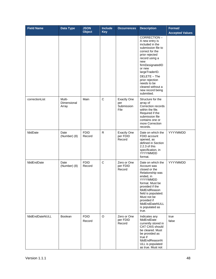| <b>Field Name</b> | <b>Data Type</b>               | <b>JSON</b><br><b>Object</b> | <b>Include</b><br><b>Key</b> | <b>Occurrences</b>                              | <b>Description</b>                                                                                                                                                                                                                                                                            | Format/<br><b>Accepted Values</b> |
|-------------------|--------------------------------|------------------------------|------------------------------|-------------------------------------------------|-----------------------------------------------------------------------------------------------------------------------------------------------------------------------------------------------------------------------------------------------------------------------------------------------|-----------------------------------|
|                   |                                |                              |                              |                                                 | CORRECTION-<br>A new entry is<br>included in the<br>submission file to<br>correct for the<br>prior rejected<br>record using a<br>new<br>firmDesignatedID<br>or new<br>largeTraderID.<br>DELETE - The<br>prior rejection<br>needs to be<br>cleared without a<br>new record being<br>submitted. |                                   |
| correctionList    | Multi-<br>Dimensional<br>Array | Main                         | C                            | <b>Exactly One</b><br>per<br>Submission<br>File | Structure for the<br>array of<br>Correction records<br>within the file.<br>Required if the<br>submission file<br>contains one or<br>more Correction<br>records.                                                                                                                               |                                   |
| fdidDate          | Date<br>(Number) (8)           | <b>FDID</b><br>Record        | $\mathsf{R}$                 | <b>Exactly One</b><br>per FDID<br>Record        | Date on which the<br>FDID account<br>opened, as<br>defined in Section<br>2.2.3 of this<br>specification, in<br>YYYYMMDD<br>format.                                                                                                                                                            | YYYYMMDD                          |
| fdidEndDate       | Date<br>(Number) (8)           | <b>FDID</b><br>Record        | $\mathbf C$                  | Zero or One<br>per FDID<br>Record               | Date on which the<br>Account was<br>closed or the<br>Relationship was<br>ended, in<br>YYYYMMDD<br>format. Must be<br>provided if the<br>fdidEndReason<br>field is populated.<br>Must not be<br>provided if<br>fdidEndDateNULL<br>is populated as<br>true.                                     | YYYYMMDD                          |
| fdidEndDateNULL   | Boolean                        | <b>FDID</b><br>Record        | O                            | Zero or One<br>per FDID<br>Record               | Indicates any<br>fdidEndDate<br>currently stored in<br>CAT CAIS should<br>be cleared. Must<br>be provided as<br>true if<br>fdidEndReasonN<br>ULL is populated<br>as true. Must not                                                                                                            | true<br>false                     |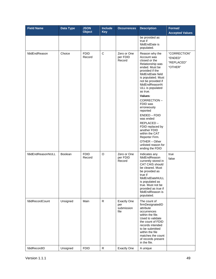| <b>Field Name</b> | <b>Data Type</b> | <b>JSON</b><br><b>Object</b> | Include<br><b>Key</b> | <b>Occurrences</b>                              | <b>Description</b>                                                                                                                                                                                                                                                                                                                                                                                                                                    | Format/<br><b>Accepted Values</b>                |
|-------------------|------------------|------------------------------|-----------------------|-------------------------------------------------|-------------------------------------------------------------------------------------------------------------------------------------------------------------------------------------------------------------------------------------------------------------------------------------------------------------------------------------------------------------------------------------------------------------------------------------------------------|--------------------------------------------------|
|                   |                  |                              |                       |                                                 | be provided as<br>true if<br>fdidEndDate is<br>populated.                                                                                                                                                                                                                                                                                                                                                                                             |                                                  |
| fdidEndReason     | Choice           | <b>FDID</b><br>Record        | $\mathbf C$           | Zero or One<br>per FDID<br>Record               | Reason why the<br>Account was<br>closed or the<br>Relationship was<br>ended. Must be<br>provided if the<br>fdidEndDate field<br>is populated. Must<br>not be provided if<br>fdidEndReasonN<br>ULL is populated<br>as true.<br>Values:<br>CORRECTION-<br>FDID was<br>erroneously<br>reported<br>ENDED - FDID<br>was ended<br>REPLACED-<br>FDID replaced by<br>another FDID<br>within the CAT<br>Reporter Firm.<br>OTHER - Other<br>unlisted reason for | "CORRECTION"<br>"ENDED"<br>"REPLACED"<br>"OTHER" |
| fdidEndReasonNULL | Boolean          | <b>FDID</b><br>Record        | $\circ$               | Zero or One<br>per FDID<br>Record               | ending the FDID<br>Indicates any<br>fdidEndReason<br>currently stored in<br>CAT CAIS should<br>be cleared. Must<br>be provided as<br>true if<br>fdidEndDateNULL<br>is populated as<br>true. Must not be<br>provided as true if<br>fdidEndReason is<br>populated.                                                                                                                                                                                      | true<br>false                                    |
| fdidRecordCount   | Unsigned         | Main                         | R.                    | <b>Exactly One</b><br>per<br>submission<br>file | The count of<br>firmDesignatedID<br>attribute<br>occurrences<br>within the file.<br>Used to validate<br>the count of FDID<br>records intended<br>to be submitted<br>within the file<br>matches the count<br>of records present<br>in the file.                                                                                                                                                                                                        |                                                  |
| fdidRecordID      | Unsigned         | <b>FDID</b>                  | ${\sf R}$             | <b>Exactly One</b>                              | A unique                                                                                                                                                                                                                                                                                                                                                                                                                                              |                                                  |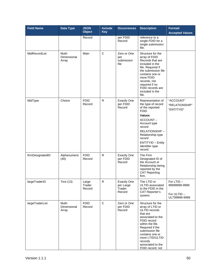| <b>Field Name</b> | <b>Data Type</b>               | <b>JSON</b><br><b>Object</b> | <b>Include</b><br><b>Key</b> | <b>Occurrences</b>                                  | <b>Description</b>                                                                                                                                                                                                                                         | Format/<br><b>Accepted Values</b>                          |
|-------------------|--------------------------------|------------------------------|------------------------------|-----------------------------------------------------|------------------------------------------------------------------------------------------------------------------------------------------------------------------------------------------------------------------------------------------------------------|------------------------------------------------------------|
|                   |                                | Record                       |                              | per FDID<br>Record                                  | reference to a<br>single FDID for a<br>single submission<br>file.                                                                                                                                                                                          |                                                            |
| fdidRecordList    | Multi-<br>Dimensional<br>Array | Main                         | $\mathsf{C}$                 | Zero or One<br>per<br>submission<br>file            | Structure for the<br>array of FDID<br>Records that are<br>included in the<br>file. Required if<br>the submission file<br>contains one or<br>more FDID<br>records; not<br>required if no<br>FDID records are<br>included in the<br>file.                    |                                                            |
| fdidType          | Choice                         | <b>FDID</b><br>Record        | ${\sf R}$                    | <b>Exactly One</b><br>per FDID<br>Record            | Representation of<br>the type of record<br>of the reported<br>FDID.<br>Values:<br>ACCOUNT-<br>Account type<br>record<br>RELATIONSHIP-<br>Relationship type<br>record<br><b>ENTITYID - Entity</b><br>Identifier type<br>record                              | "ACCOUNT"<br>"RELATIONSHIP"<br>"ENTITYID"                  |
| firmDesignatedID  | Alphanumeric<br>(40)           | <b>FDID</b><br>Record        | R                            | <b>Exactly One</b><br>per FDID<br>Record            | The Firm<br>Designated ID of<br>the Account or<br>Relationship being<br>reported by the<br><b>CAT Reporting</b><br>firm.                                                                                                                                   |                                                            |
| largeTraderID     | Text (13)                      | Large<br>Trader<br>Record    | R                            | <b>Exactly One</b><br>per Large<br>Trader<br>Record | The LTID or<br>ULTID associated<br>to the FDID in the<br><b>CAT Reporter's</b><br>system.                                                                                                                                                                  | For LTID-<br>99999999-9999<br>For ULTID -<br>ULT99999-9999 |
| largeTraderList   | Multi-<br>Dimensional<br>Array | <b>FDID</b><br>Record        | $\mathsf C$                  | Zero or One<br>per FDID<br>Record                   | Structure for the<br>array of LTID or<br>ULTID records<br>that are<br>associated to the<br>FDID record<br>within the file.<br>Required if the<br>submission file<br>contains one or<br>more LTID/ULTID<br>records<br>associated to the<br>FDID record; not |                                                            |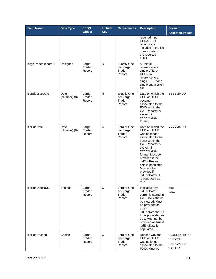| <b>Field Name</b>        | <b>Data Type</b>     | <b>JSON</b><br><b>Object</b> | <b>Include</b><br><b>Key</b> | <b>Occurrences</b>                                  | <b>Description</b>                                                                                                                                                                                                                                                                                        | Format/<br><b>Accepted Values</b>                |
|--------------------------|----------------------|------------------------------|------------------------------|-----------------------------------------------------|-----------------------------------------------------------------------------------------------------------------------------------------------------------------------------------------------------------------------------------------------------------------------------------------------------------|--------------------------------------------------|
|                          |                      |                              |                              |                                                     | required if no<br>LTID/ULTID<br>records are<br>included in the file<br>in association to<br>the reported<br>FDID.                                                                                                                                                                                         |                                                  |
| largeTraderRecordID      | Unsigned             | Large<br>Trader<br>Record    | R                            | <b>Exactly One</b><br>per Large<br>Trader<br>Record | A unique<br>reference to a<br>single LTID or<br>ULTID in<br>reference to a<br>single FDID for a<br>single submission<br>file.                                                                                                                                                                             |                                                  |
| <b>ItidEffectiveDate</b> | Date<br>(Number) (8) | Large<br>Trader<br>Record    | R                            | <b>Exactly One</b><br>per Large<br>Trader<br>Record | Date on which the<br>LTID or ULTID<br>became<br>associated to the<br>FDID within the<br><b>CAT Reporter's</b><br>system, in<br>YYYYMMDD<br>format.                                                                                                                                                        | YYYYMMDD                                         |
| <b>ItidEndDate</b>       | Date<br>(Number) (8) | Large<br>Trader<br>Record    | C                            | Zero or One<br>per Large<br>Trader<br>Record        | Date on which the<br>LTID or ULTID<br>was no longer<br>associated to the<br>FDID within the<br><b>CAT Reporter's</b><br>system, in<br>YYYYMMDD<br>format. Must be<br>provided if the<br>ltidEndReason<br>field is populated.<br>Must not be<br>provided if<br>ltidEndDateNULL<br>is populated as<br>true. | YYYYMMDD                                         |
| ItidEndDateNULL          | Boolean              | Large<br>Trader<br>Record    | C                            | Zero or One<br>per Large<br>Trader<br>Record        | Indicates any<br><b>ItidEndDate</b><br>currently stored in<br>CAT CAIS should<br>be cleared. Must<br>be provided as<br>true if<br>ltidEndReasonNU<br>LL is populated as<br>true. Must not be<br>provided as true if<br>ItidEndDate is<br>populated.                                                       | true<br>false                                    |
| ltidEndReason            | Choice               | Large<br>Trader<br>Record    | $\mathsf C$                  | Zero or One<br>per Large<br>Trader<br>Record        | Reason why the<br>LTID or ULTID<br>was no longer<br>associated to the<br>FDID. Must be                                                                                                                                                                                                                    | "CORRECTION"<br>"ENDED"<br>"REPLACED"<br>"OTHER" |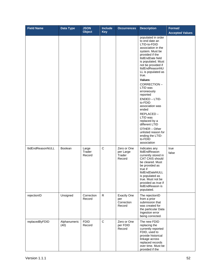| <b>Field Name</b> | Data Type            | <b>JSON</b><br><b>Object</b> | <b>Include</b><br><b>Key</b> | <b>Occurrences</b>                                | <b>Description</b>                                                                                                                                                                                                                                   | Format/<br><b>Accepted Values</b> |
|-------------------|----------------------|------------------------------|------------------------------|---------------------------------------------------|------------------------------------------------------------------------------------------------------------------------------------------------------------------------------------------------------------------------------------------------------|-----------------------------------|
|                   |                      |                              |                              |                                                   | populated in order<br>to end date an<br>LTID-to-FDID<br>association in the<br>system. Must be<br>provided if the<br>ItidEndDate field<br>is populated. Must<br>not be provided if<br>ItidEndReasonNU<br>LL is populated as<br>true.                  |                                   |
|                   |                      |                              |                              |                                                   | Values:<br>CORRECTION-<br>LTID was<br>erroneously<br>reported                                                                                                                                                                                        |                                   |
|                   |                      |                              |                              |                                                   | ENDED - LTID-<br>to-FDID<br>association was<br>ended                                                                                                                                                                                                 |                                   |
|                   |                      |                              |                              |                                                   | REPLACED-<br>LTID was<br>replaced by a<br>different LTID                                                                                                                                                                                             |                                   |
|                   |                      |                              |                              |                                                   | OTHER - Other<br>unlisted reason for<br>ending the LTID-<br>to-FDID<br>association                                                                                                                                                                   |                                   |
| ltidEndReasonNULL | Boolean              | Large<br>Trader<br>Record    | $\mathsf{C}$                 | Zero or One<br>per Large<br>Trader<br>Record      | Indicates any<br>ItidEndReason<br>currently stored in<br><b>CAT CAIS should</b><br>be cleared. Must<br>be provided as<br>true if<br>ItidEndDateNULL<br>is populated as<br>true. Must not be<br>provided as true if<br>ItidEndReason is<br>populated. | true<br>false                     |
| rejectionID       | Unsigned             | Correction<br>Record         | R                            | <b>Exactly One</b><br>per<br>Correction<br>Record | The rejectionID<br>from a prior<br>submission that<br>was created for<br>the particular Data<br>Ingestion error<br>being corrected.                                                                                                                  |                                   |
| replacedByFDID    | Alphanumeric<br>(40) | <b>FDID</b><br>Record        | $\mathbf C$                  | Zero or One<br>per FDID<br>Record                 | The new FDID<br>replacing the<br>currently reported<br>FDID, used to<br>provide historical<br>linkage across<br>replaced records<br>over time. Must be<br>provided if the                                                                            |                                   |